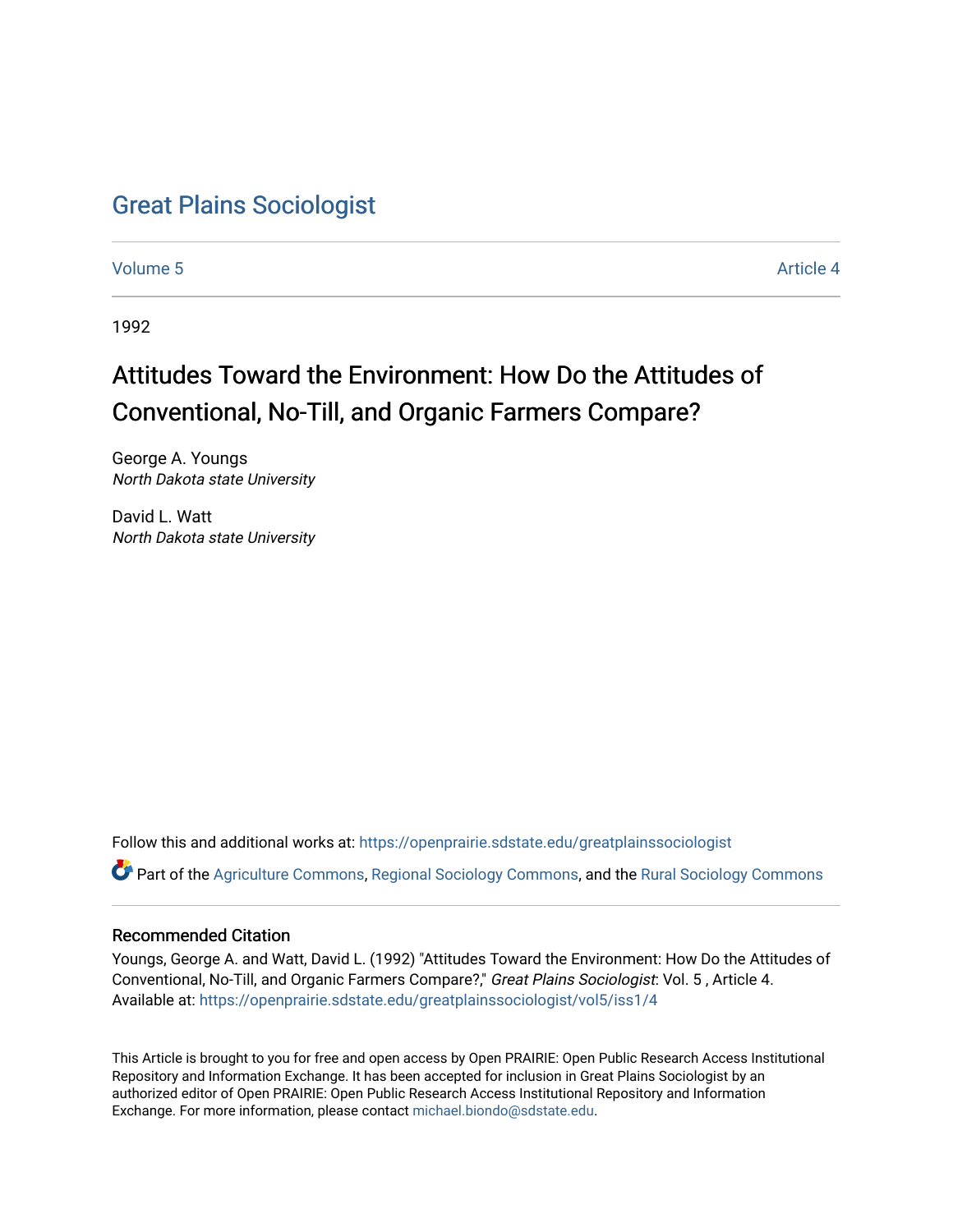## [Great Plains Sociologist](https://openprairie.sdstate.edu/greatplainssociologist)

[Volume 5](https://openprairie.sdstate.edu/greatplainssociologist/vol5) Article 4

1992

# Attitudes Toward the Environment: How Do the Attitudes of Conventional, No-Till, and Organic Farmers Compare?

George A. Youngs North Dakota state University

David L. Watt North Dakota state University

Follow this and additional works at: [https://openprairie.sdstate.edu/greatplainssociologist](https://openprairie.sdstate.edu/greatplainssociologist?utm_source=openprairie.sdstate.edu%2Fgreatplainssociologist%2Fvol5%2Fiss1%2F4&utm_medium=PDF&utm_campaign=PDFCoverPages) 

Part of the [Agriculture Commons](http://network.bepress.com/hgg/discipline/1076?utm_source=openprairie.sdstate.edu%2Fgreatplainssociologist%2Fvol5%2Fiss1%2F4&utm_medium=PDF&utm_campaign=PDFCoverPages), [Regional Sociology Commons,](http://network.bepress.com/hgg/discipline/427?utm_source=openprairie.sdstate.edu%2Fgreatplainssociologist%2Fvol5%2Fiss1%2F4&utm_medium=PDF&utm_campaign=PDFCoverPages) and the [Rural Sociology Commons](http://network.bepress.com/hgg/discipline/428?utm_source=openprairie.sdstate.edu%2Fgreatplainssociologist%2Fvol5%2Fiss1%2F4&utm_medium=PDF&utm_campaign=PDFCoverPages)

## Recommended Citation

Youngs, George A. and Watt, David L. (1992) "Attitudes Toward the Environment: How Do the Attitudes of Conventional, No-Till, and Organic Farmers Compare?," Great Plains Sociologist: Vol. 5 , Article 4. Available at: [https://openprairie.sdstate.edu/greatplainssociologist/vol5/iss1/4](https://openprairie.sdstate.edu/greatplainssociologist/vol5/iss1/4?utm_source=openprairie.sdstate.edu%2Fgreatplainssociologist%2Fvol5%2Fiss1%2F4&utm_medium=PDF&utm_campaign=PDFCoverPages) 

This Article is brought to you for free and open access by Open PRAIRIE: Open Public Research Access Institutional Repository and Information Exchange. It has been accepted for inclusion in Great Plains Sociologist by an authorized editor of Open PRAIRIE: Open Public Research Access Institutional Repository and Information Exchange. For more information, please contact [michael.biondo@sdstate.edu.](mailto:michael.biondo@sdstate.edu)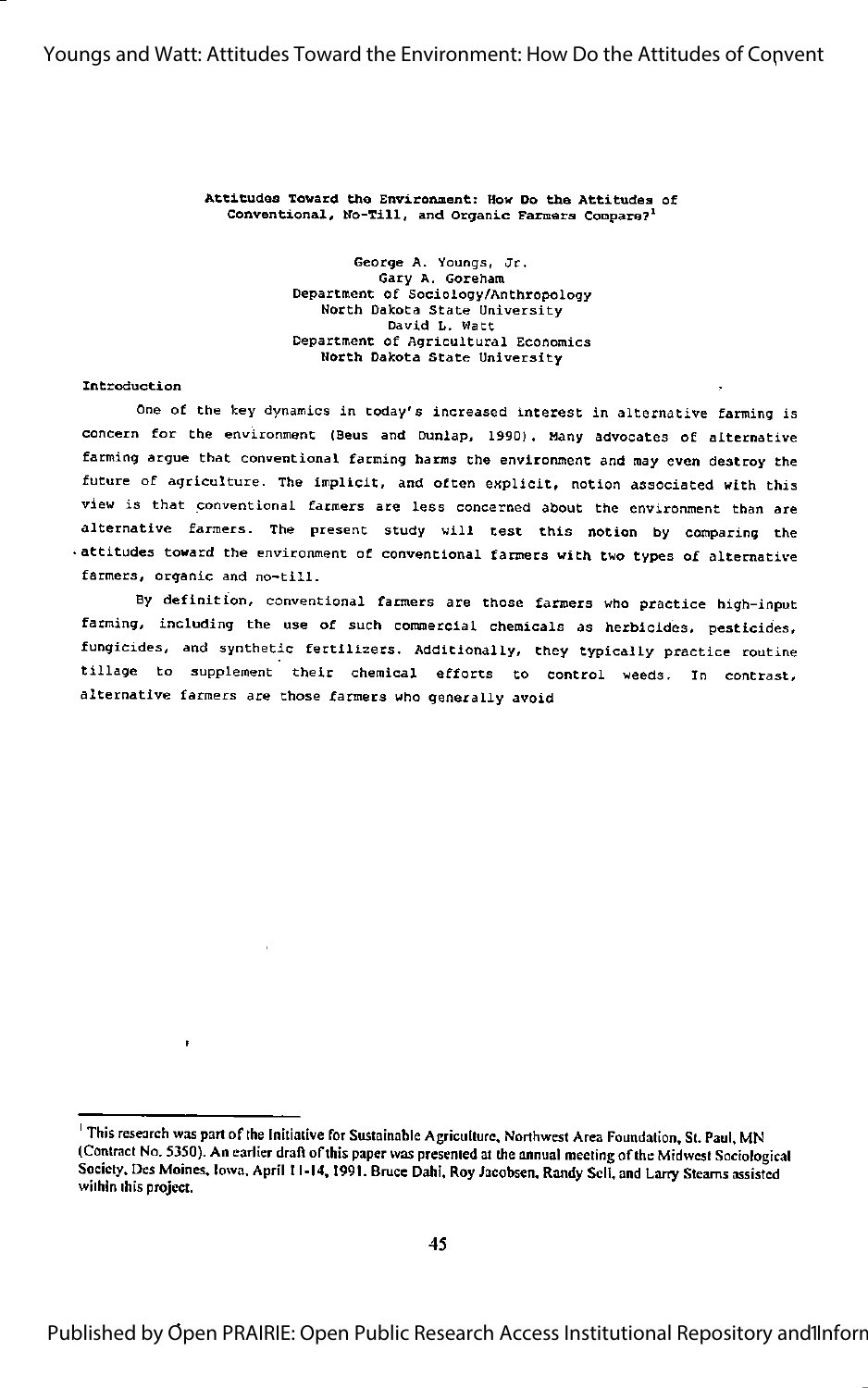#### Attitudes Toward the Environment: How Do the Attitudes of Conventional, Ho-Till, and Organic Farmers Compare?'

George A. Youngs, Jr. Gary A. Goreham Department of Sociology/Anthropology North Dakota state University David L. Watt Department of Agricultural Economics North Dakota state University

#### Introduction

ł

One of the key dynamics in today's increased interest in alternative farming is concern for the environment (Beus and Dunlap, 1990). Many advocates of alternative farming argue that conventional farming harms the environment and may even destroy the future of agriculture. The implicit, and often explicit, notion associated with this view is that conventional farmers are less concerned about the environment than are alternative farmers. The present study will test this notion by comparing the attitudes toward the environment of conventional farmers with two types of alternative farmers, organic and no-till.

By definition, conventional farmers are those farmers who practice high-input farming, including the use of such commercial chemicals as herbicides, pesticides, fungicides, and synthetic fertilizers. Additionally, they typically practice routine tillage to supplement their chemical efforts to control weeds. In contrast, alternative farmers are those farmers who generally avoid

<sup>&</sup>lt;sup>1</sup> This research was part of the Initiative for Sustainable Agriculture, Northwest Area Foundation. St. Paul. MN (Contract No. 5350). An earlier draft of this paper was presented at the annual meeting of the Midwest Sociological Society. Des Moines. Iowa. April 11-14,1991. Bruce Dahi, Roy Jacobsen, Randy Sell, and Larry Steams assisted within this project.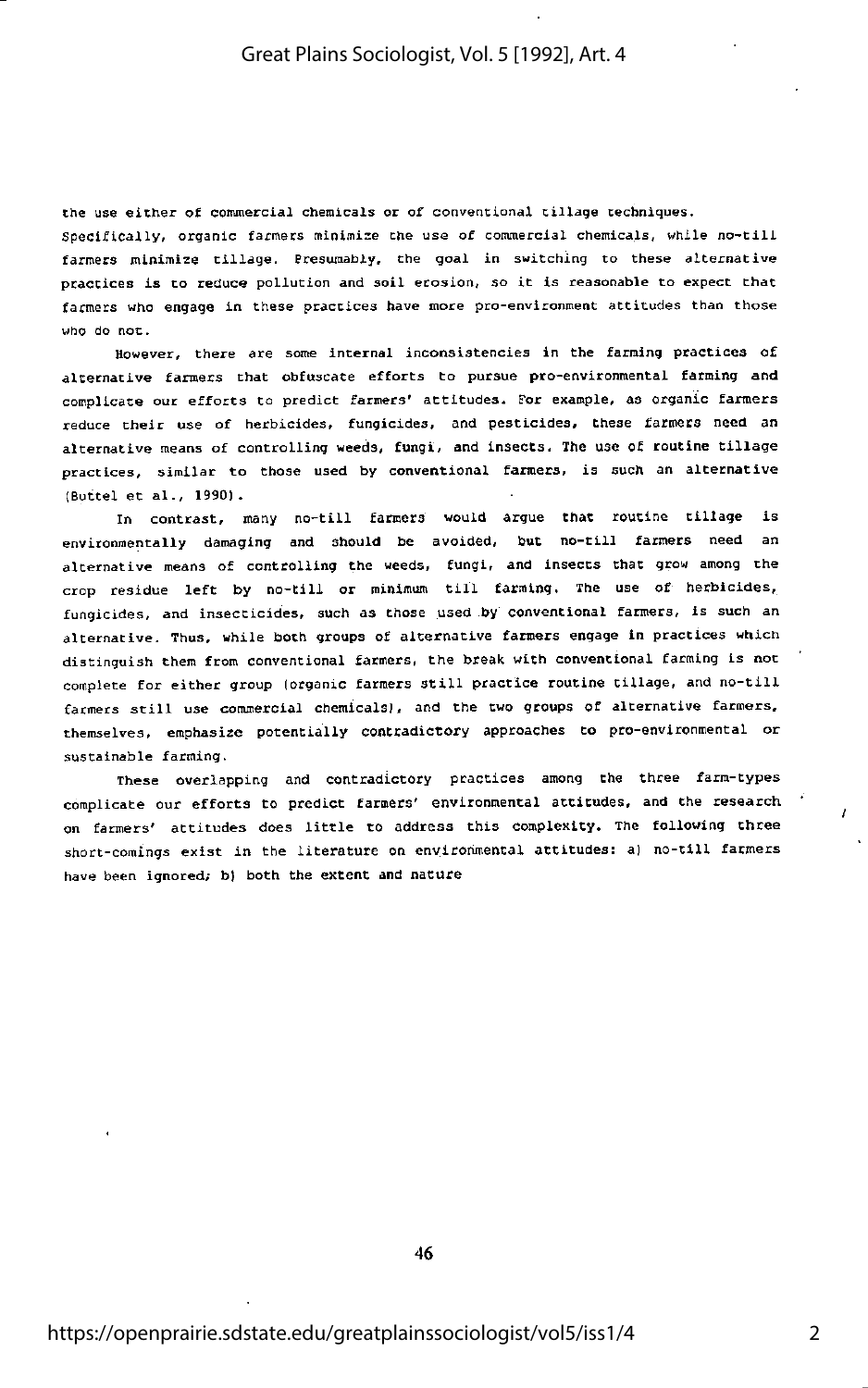Che use either of commeccial chemicals or of conventional tillage techniques. Specifically, organic farmers minimise the use of commercial chemicals, while no-tili farmers minimize tillage. Presumably, the goal in switching to these alternative practices is to reduce pollution and soil erosion, so it is reasonable to expect that farmers who engage in these practices have more pro-environment attitudes than those who do not.

However, there are some internal inconsistencies in the farming practices of alternative farmers that obfuscate efforts to pursue pro-environmental farming and complicate out efforts to predict farmers' attitudes. Tor example, as organic farmers reduce their use of herbicides, fungicides, and pesticides, these farmers need an alternative means of controlling weeds, fungi, and insects. The use of routine tillage practices, similar to those used by conventional farmers, is such an alternative (Buttel et al., 19901.

In contrast, many no-till farmers would argue that routine tillage is environmentally damaging and should be avoided, but no-till farmers need an alternative means of controlling the weeds, fungi, and insects that grow among the crop residue left by no-till or minimum till farming. The use of herbicides, fungicides, and insecticides, such as chose used by conventional farmers, is such an alternative. Thus, while both groups of alternative farmers engage in practices which distinguish them from conventional farmers, the break with conventional farming is not complete for either group (organic farmers still practice routine tillage, and no-till farmers still use commetcial chemicals!, and the two groups of alternative farmers, themselves, emphasize potentially contradictory approaches to pro-environmental or sustainable farming.

These overlapping and contradictory practices among the three farm-types complicate our efforts to predict farmers' environmental attitudes, and the research on farmers' attitudes does little to address this complexity. The following three short-comings exist in the literature on environmental attitudes: a) no-till farmers have been ignored; b) both the extent and nature

46

 $\mathbf{r}$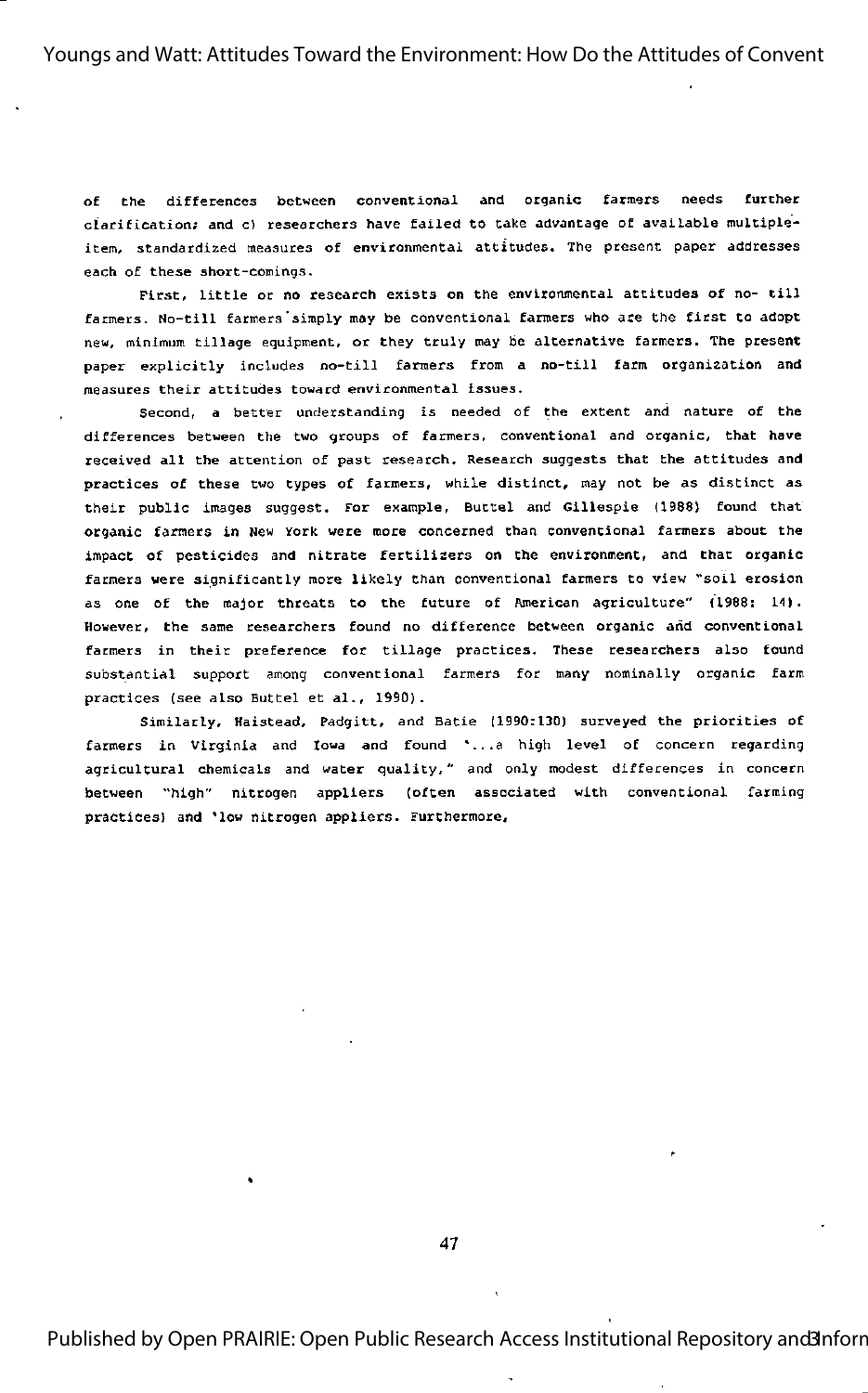of Che differences between conventional and organic farmers needs further clarification; and c) researchers have failed to take advantage of available multipleitem, standardized measures of environmental attitudes. The present paper addresses each of these short-comings.

First, little or no research exists on the environmental attitudes of no- till farmers. No-till farmers'simply may be conventional farmers who are the first to adopt new, minimum tillage equipment, or they truly may be alternative farmers. The present paper explicitly includes no-till farmers from a no-till farm organization and measures their attitudes toward environmental issues.

Second, <sup>a</sup> better understanding is needed of the extent and nature of the differences between the two groups of farmers, conventional and organic, that have received all the attention of past research. Research suggests that the attitudes and practices of these two types of farmers, while distinct, may not be as distinct as their public images suggest. For example, Buttel and Gillespie (1988) found that organic farmers in New York were more concerned than conventional farmers about the impact of pesticides and nitrate fertilizers on the environment, and that organic farmers were significantly more likely than conventional farmers to view "soil erosion as one of the major threats to the future of American agriculture" (1988: 14). However, the same researchers found no difference between organic and conventional farmers in their preference for tillage practices. These researchers also found substantial support among conventional farmers for many nominally organic farm practices (see also Buttel et al., 1990).

Similarly, Haistead, Padgitt, and Batie (1990:130) surveyed the priorities of farmers in Virginia and Iowa and found \*...a high level of concern regarding agricultural chemicals and water quality," and only modest differences In concern between "high" nitrogen appllers (often associated with conventional farming practices) and \*low nitrogen appllers. Furthermore,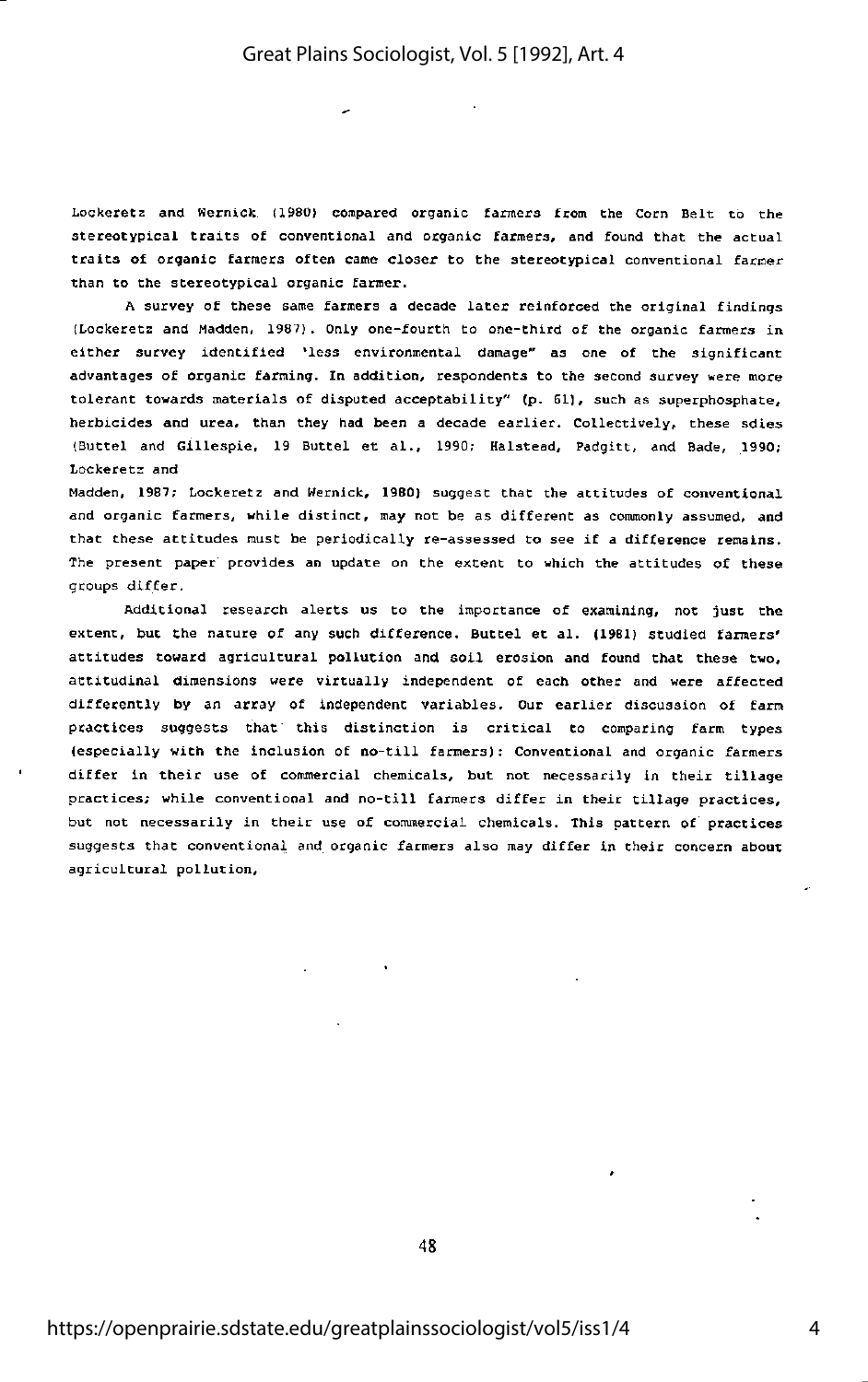Lockeretz and Wernick (1980) compared organic fanners from the Corn Belt to the stereotypical traits of conventional and organic farmers, and found that the actual traits of organic farmers often came closer to the stereotypical conventional farmer than to the stereotypical organic farmer.

<sup>A</sup> survey of these same farmers <sup>a</sup> decade later reinforced the original findings (Lockeretz and Madden, 1987). Only one-fourth to one-third of the organic fanners in either survey identified 'less environmental damage" as one of the significant advantages of organic farming. In addition, respondents to the second survey were more tolerant towards materials of disputed acceptability" (p. 61], such as superphosphate, herbicides and urea, than they had been <sup>a</sup> decade earlier. Collectively, these sdies (Buttel and Gillespie, <sup>19</sup> Buttel et al., 1990; Halstead, Padgict, and Bade, 1990; Lockeretz and

Madden, 1987; Lockeretz and Hernick, 1980) suggest that the attitudes of conventional and organic farmers, while distinct, may not be as different as commonly assumed, and that these attitudes must be periodically re-assessed to see if <sup>a</sup> difference remains. The present paper provides an update on the extent to which the attitudes of these groups differ.

Additional research alerts us to the importance of examining, not just the extent, but Che nature of any such difference. Buttel et al. (1981) studied farmers' attitudes toward agricultural pollution and soil erosion and found that these two, attitudinal dimensions were virtually independent of each other and were affected differently by an array of independent variables. Our earlier discussion of farm practices suggests that' this distinction is critical to comparing farm types (especially with the inclusion of no-till farmers) : Conventional and organic farmers differ in their use of commercial chemicals, but not necessarily in their tillage practices; while conventional and no-till fanners differ in their tillage practices, but not necessarily in their use of commercial chemicals. This pattern of practices suggests that conventional and organic farmers also may differ in their concern about agricultural pollution.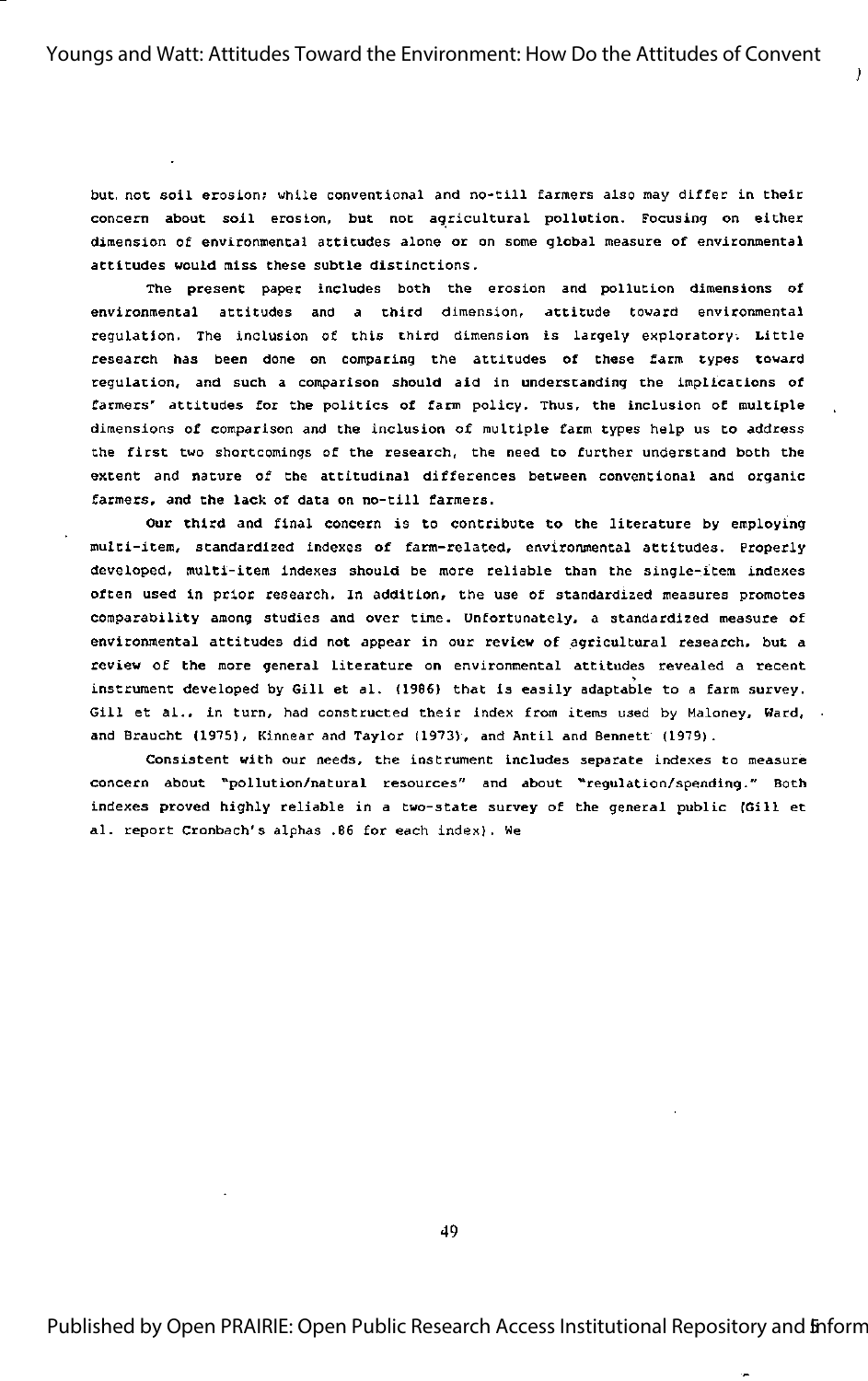but, not soil erosion; while conventional and no-till farmers also may differ in their concern about soil erosion, but not agricultural pollution. Focusing on either dimension of environmental attitudes alone or on some global measure of environmental attitudes would miss these subtle distinctions.

The present paper includes both the erosion and pollution dimensions of environmental attitudes and <sup>a</sup> third dimension, attitude toward environmental regulation. The inclusion of this third dimension is largely exploratory. Little research has been done on comparing the attitudes of these farm types toward regulation, and such <sup>a</sup> comparison should aid in understanding the implications of farmers' attitudes for the politics of farm policy. Thus, the inclusion of multiple dimensions of comparison and the inclusion of multiple farm types help us to address the first two shortcomings of the research, the need to further understand both the extent and nature of the attitudinal differences between conventional and organic farmers, and the lack of data on no-till farmers.

Our third and final concern is to contribute to the literature by employing multi-item, standardized indexes of farm-related, environmental attitudes. Properly developed, multi-item indexes should be more reliable than the single-item indexes often used in prior research. In addition, the use of standardized measures promotes comparability among studies and over time. Unfortunately, a standardized measure of environmental attitudes did not appear in our review of agricultural research, but <sup>a</sup> review of the more general literature on environmental attitudes revealed <sup>a</sup> recent instrument developed by Gill et al. (1986) that is easily adaptable to <sup>a</sup> farm survey. Gill et al., in turn, had constructed their index from items used by Maloney, Ward, . and Braucht (1975), Kinnear and Taylor (1973), and Antil and Bennett (1979).

Consistent with our needs, the instrument includes separate indexes to measure concern about "pollution/natural resources" and about ''regulation/spending." Both indexes proved highly reliable in a two-state survey of the general public (Gill et al. report Cronbach's alphas .86 for each index). We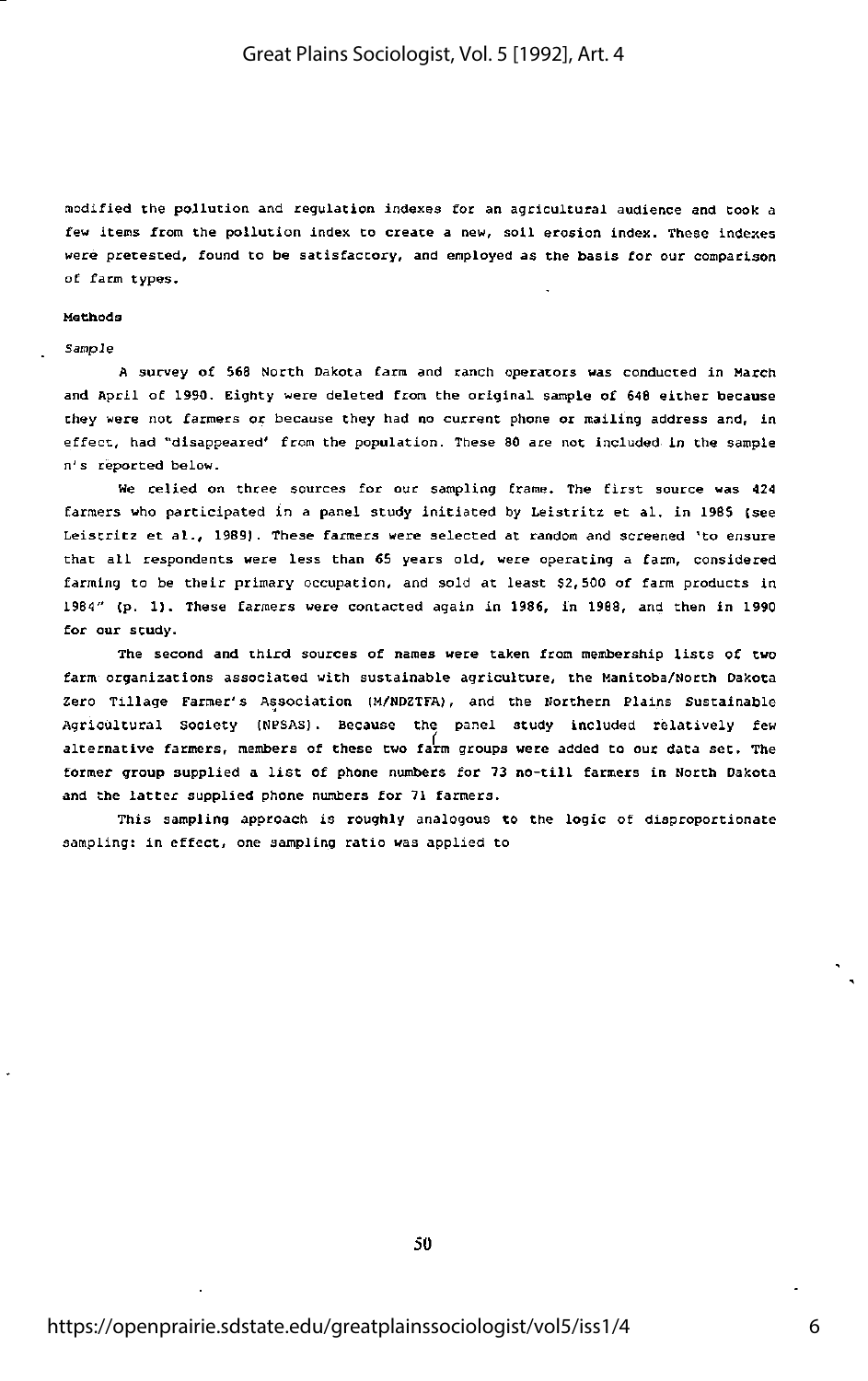modified the pollution and regulation indexea Cor an agricultural audience and cook <sup>a</sup> few items from the pollution index to create a new, soil erosion index. These indexes were pretested, found to be satisfactory, and employed as the basis for our comparison of farm types.

#### Methods

#### Sampie

<sup>A</sup> survey of 568 North Dakota farm and ranch operators was conducted in March and April of 1990. Eighty were deleted from Che original sample of 646 either because they were not farmers or because they had no current phone or nailing address and, in effect, had "disappeared' from the population. These <sup>80</sup> are not included In the sample n's reported below.

We relied on three sources for our sampling frame. The first source was <sup>424</sup> farmers who participated in <sup>a</sup> panel study initiated by Leistritz et al. in 196S (see Leiscrlcz et al., 1989J. These farmers were selected at random and screened 'to ensure that all respondents were less than <sup>65</sup> years old, were operating <sup>a</sup> farm, considered farming to be their primary occupation, and sold at least 52,500 of farm products in 1964" (p. 1). These farmers were contacted again in 1986, in 1968, and then in 1990 for our study.

The second and third sources of names were taken from membership lists of two farm organizations associated with sustainable agriculture, the Manitoba/North Dakota Zero Tillage Farmer's Association (M/NDZTFA), and the Northern Plains Sustainable Agricultural Society (NPSAS) . Because the panel study included relatively few alternative farmers, members of these two farm groups were added to our data set. The former group supplied <sup>a</sup> list of phone numbers for <sup>73</sup> no-till farmers in North Dakota and Che latter supplied phone numbers for <sup>71</sup> farmers.

This sampling approach is roughly analogous to the logic of disproportionate sampling: in effect, one sampling ratio was applied to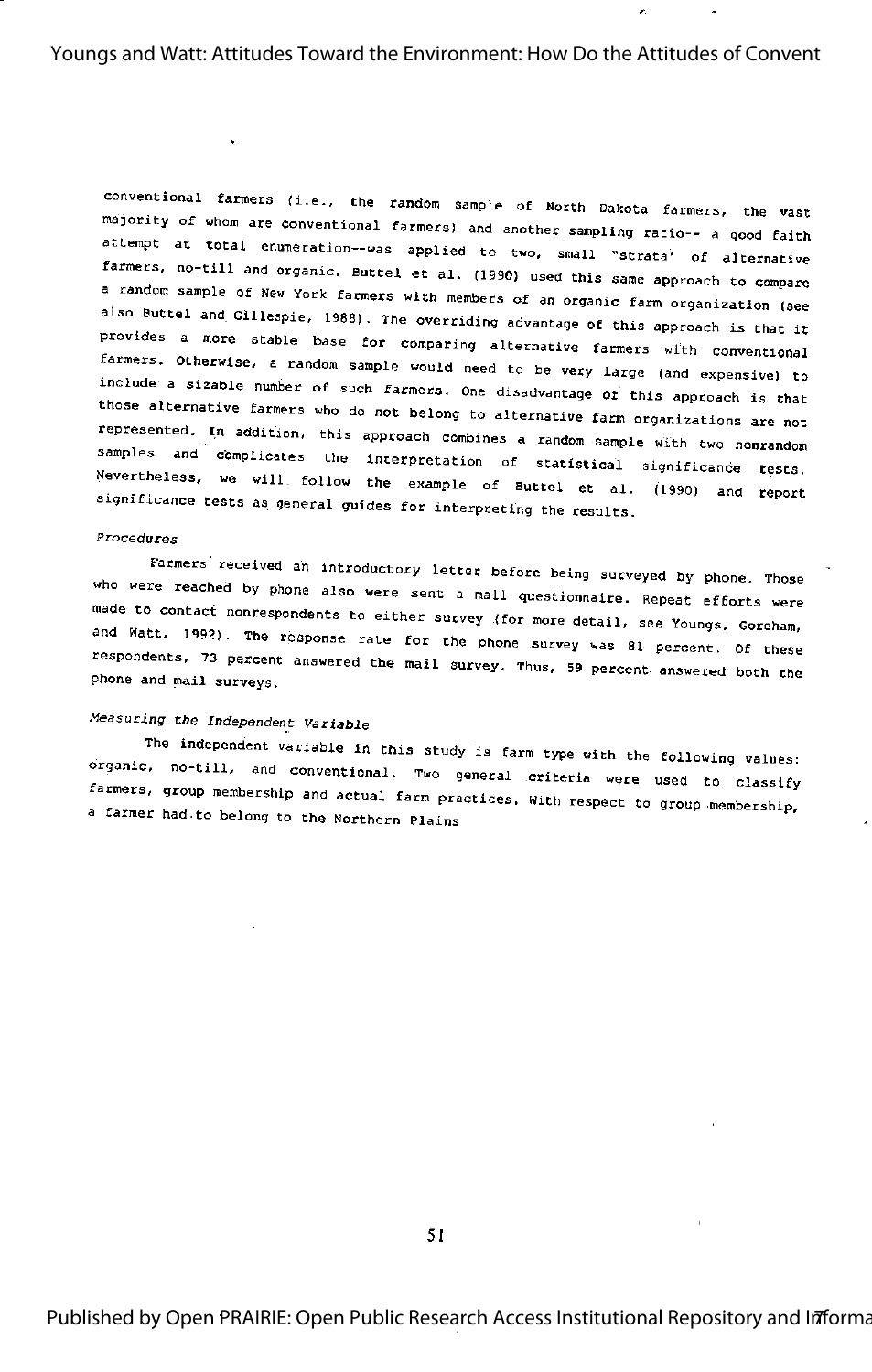$\mathcal{L}$ 

conventional farmers (i.e., the random sample of North Dakota farmers, the vast majority of whom are conventional farmers) and another sampling ratio-- a good faith attempt at total enumeration--was applied to two, small "strata' of alternative farmers, no-till and organic. Buttel et al. (1990) used this same approach to compare a random sample of New York farmers with members of an organic farm organization (see also Buttel and Gillespie, 1988). The overriding advantage of this approach is that it provides a more stable base for comparing alternative farmers with conventional farmers. Otherwise, a random sample would need to be very large (and expensive) to include a sizable number of such farmers. One disadvantage of this approach is that those alternative farmers who do not belong to alternative farm organizations are not represented, In addition, this approach combines a random sample with two nonrandom samples and complicates the interpretation of statistical significance tests. Nevertheless, we will follow the example of Buttel et al. (1990) and report significance tests as general guides for interpreting the results.

## Procedures

Farmers received an introductory letter before being surveyed by phone. Those who were reached by phone also were sent a mall questionnaire. Repeat efforts were made to contact nonrespondents to either survey (for more detail, see Youngs, Goreham, and Watt, 1992). The response rate for the phone survey was 81 percent. Of these respondents, 73 percent answered the mail survey. Thus, 59 percent answered both the phone and mail surveys.

## Measuring the Independent Variable

The independent variable in this study is farm type with the following values: organic, no-till, and conventional. Two general criteria were used to classify farmers, group membership and actual farm practices. With respect to group membership, a farmer had to belong to the Northern Plains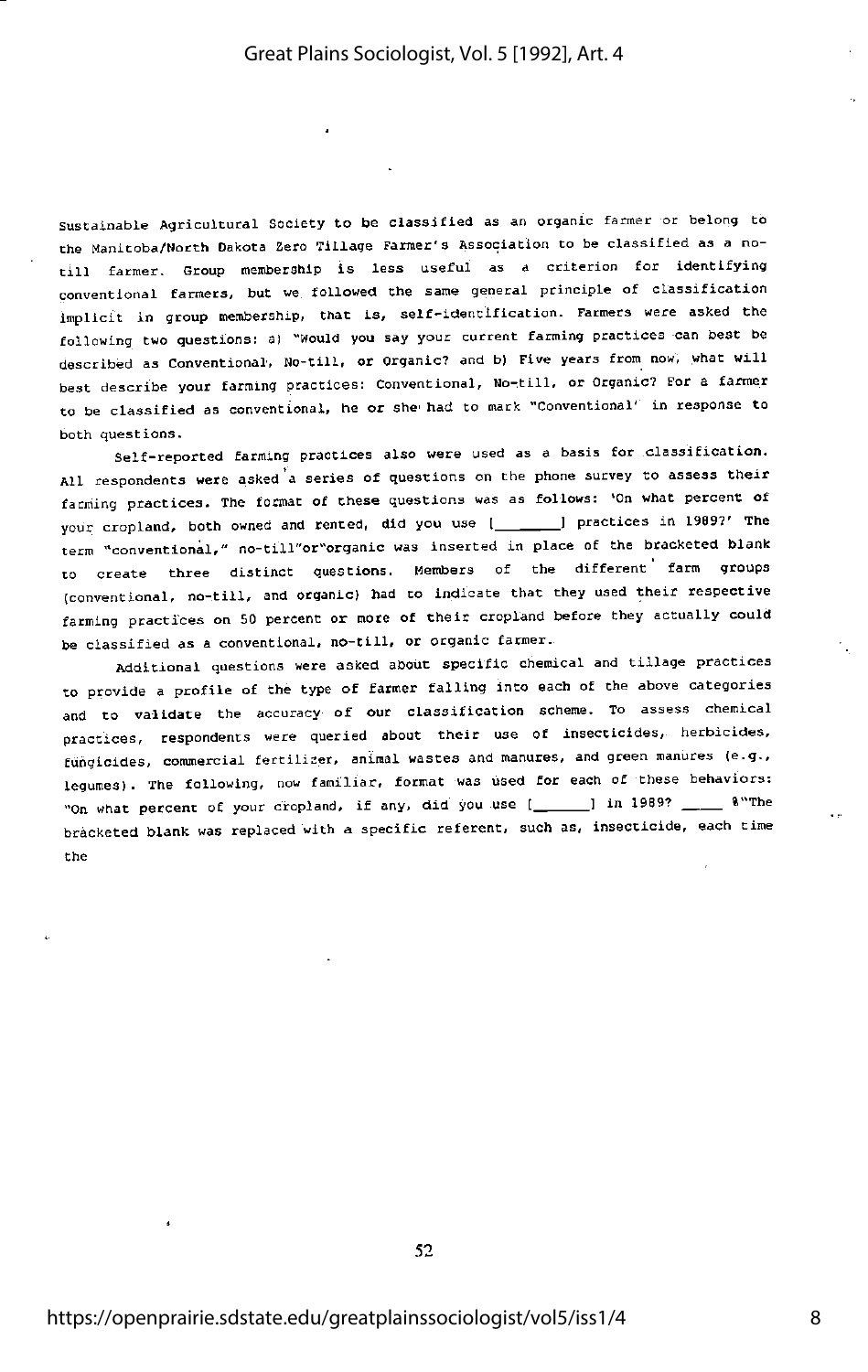Sustainable Agricultural Society to be classified as an organic farmer or belong to the Manitoba/North Dakota Zero Tillage Farmer's Association to be classified as a notill farmer. Group membership is less useful as a criterion for identifying conventional farmers, but we. followed the same general principle of classification implicit in group membership, that is, self-identification. Farmers were asked Che following two questions: a) "Would you say your current farming practices -can best be described as Conventional, No-till, or Organic? and b) Five years from now, what will best describe your farming practices: Conventional, No-till, or Organic? For a farmer to be classified as conventional, he or she' had to mark "Conventional' in response to both questions.

Self-reported farming practices also were used as a basis for classification. All respondents were asked a series of questions on the phone survey to assess their farming practices. The format of these questions was as follows; 'On what percent of your cropland, both owned and rented, did you use [ \_\_\_\_\_ ] practices in 1909?' The term "conventional," no-till"or"organic was inserted in place of the bracketed blank to create three distinct questions. Members of the different farm groups (conventional, no-till, and organic) had to indicate that they used their respective farming practices on 50 percent or more of their cropland before they actually could be classified as a conventional, no-till, or organic farmer.

Additional questions were asked about specific chemical and tillage practices to provide a profile of the type of farmer falling into each of the above categories and to validate the accuracy of our classification scheme. To assess chemical practices, respondents were queried about their use of insecticides, herbicides, fungicides, commercial fertilizer, animal wastes and manures, and green manures (e.g., legumes). The following, now familiar, format was used for each of these behaviors; "On what percent of your cropland, if any, did you use  $[$   $]$  in 1989?  $]$  %"The bracketed blank was replaced with a specific referent, such as, insecticide, each time the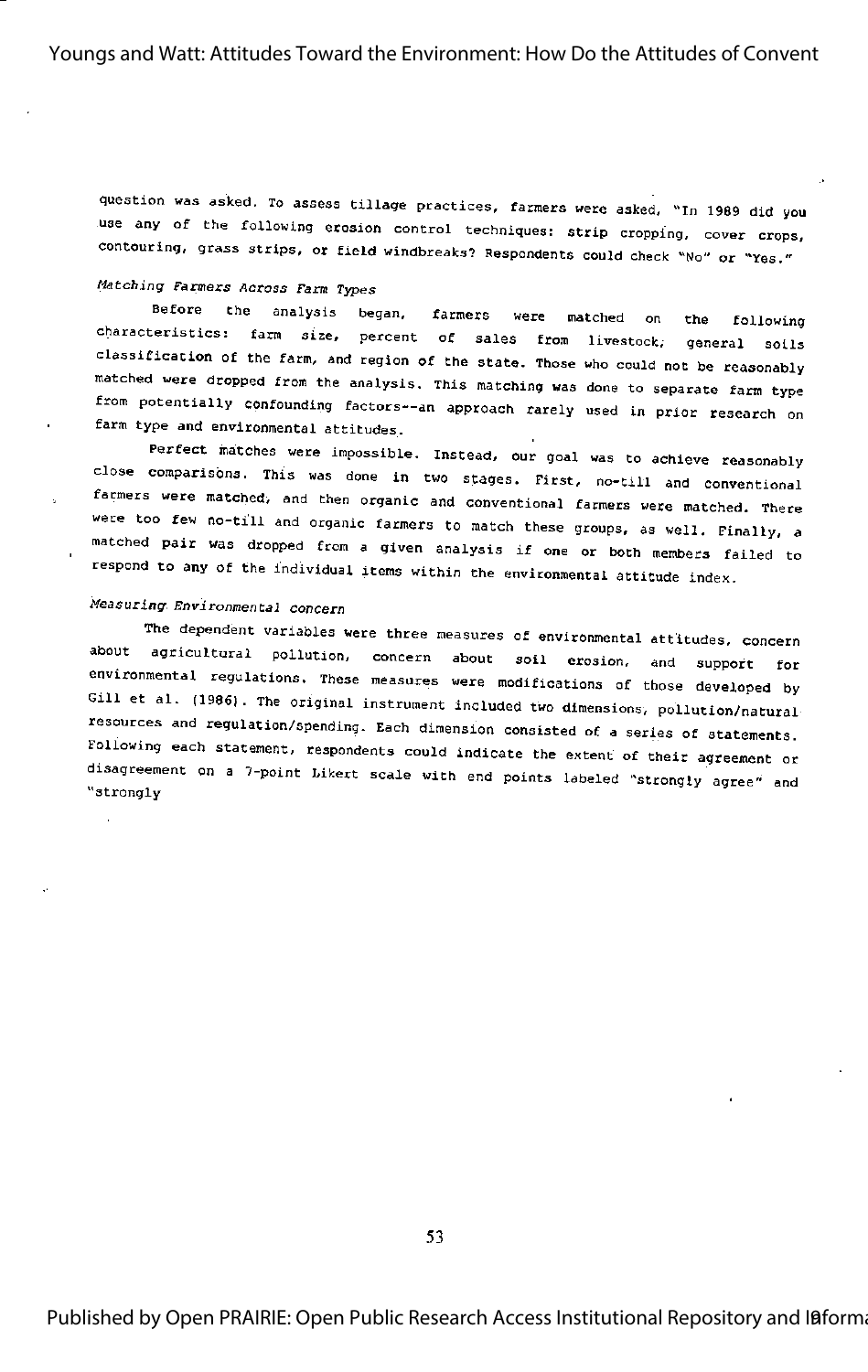question was asked. To assess tillage practices, farmers were asked, "In 1969 did you use any of the following erosion control techniques: strip cropping, cover crops, contouring, grass strips, or field windbreaks? Respondents could check "No" or "Yes."

## Matching Farmers Across Farm Types

Before the analysis began, farmers were matched on the following characteristics: farm size, percent of sales from livestock, general soils classification of the farm, and region of the state. Those who could not be reasonably matched were dropped from the analysis. This matching was done to separate farm type from potentially confounding factors--an approach rarely used in prior research on farm type and environmental attitudes.

Perfect matches were impossible. Instead, our goal was to achieve reasonably Close comparisons. This was done in two stages. First, no-till and conventional farmers were matched, and then organic and conventional farmers were matched. There were too few no-till and organic farmers to match these groups, as well. Finally, a matched pair was dropped from a given analysis if one or both members failed to respond to any of the individual items within the environmental attitude index.

## Measuring. Environmental concern

The dependent variables were three measures of environmental attitudes, concern about agricultural pollution, concern about soil erosion, and support for environmental regulations. These measures were modifications of those developed by Gill et al. (1986). The original instrument included two dimensions, pollution/natural resources and regulation/spending. Each dimension consisted of a series of statements. Following each statement, respondents could indicate the extent of their agreement or disagreement on a 7-paint Likert scale with end points labeled "strongly agree" and "strongly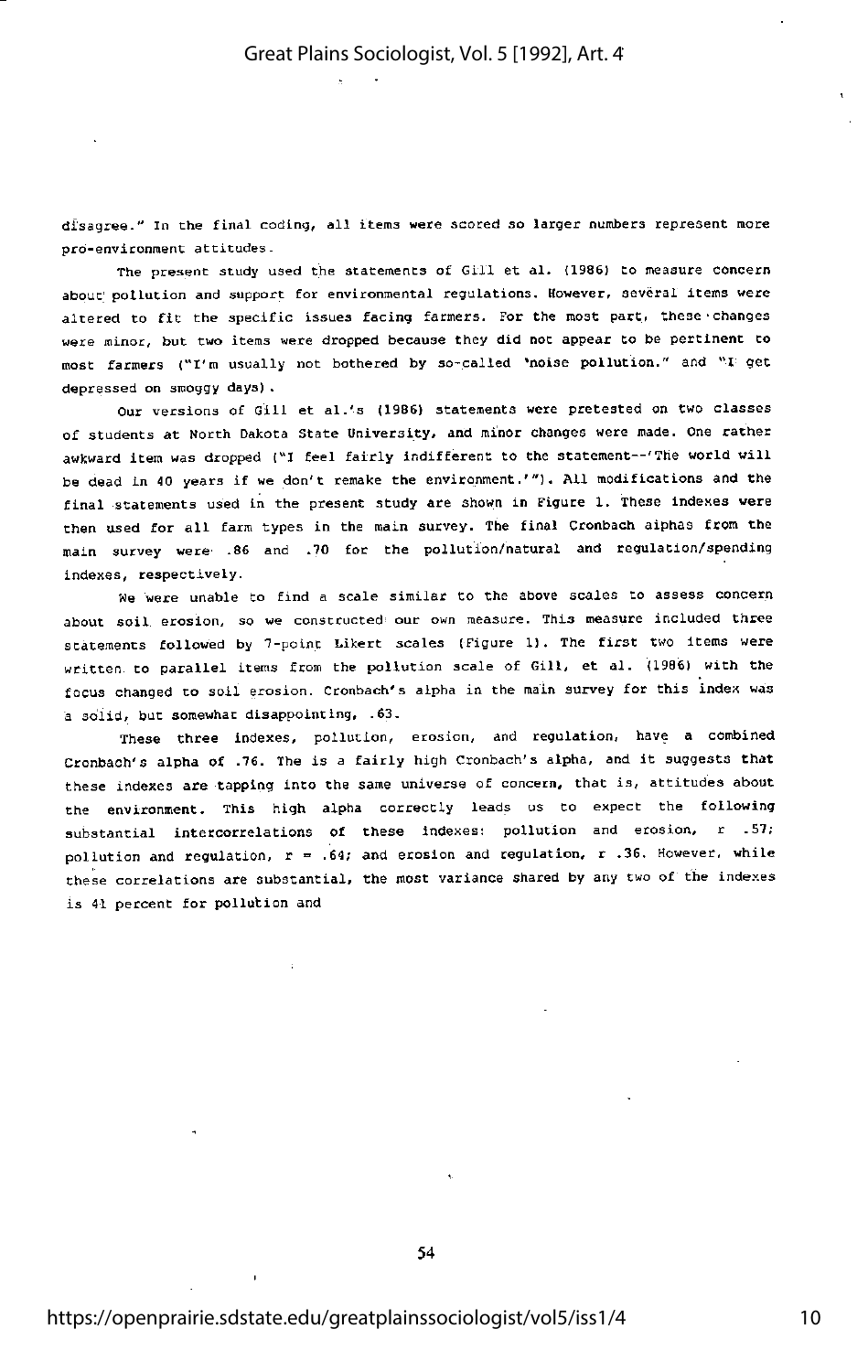disagree." In the final coding, all items were scored so larger numbers represent more pro-environment attitudes.

The present study used the statements of Gill et al. (1986) to measure concern about pollution and support for environmental regulations. However, several items were altered to fit the specific issues facing farmers. For the most part, these•changes were minor, but two items were dropped because they did not appear to be pertinent to most farmers ("I'm usually not bothered by so-called 'noise pollution." and "I get depressed on smoggy days) .

Our versions of Gill et al.'s (1986) statements were pretested on two classes of students at North Dakota State University, and minor changes were made. One rather awkward item was dropped ("I feel fairly indifferent to the statement--'The world will be dead in 40 years if we don't remake the environment.'"). All modifications and the final statements used in the present study are shown in Figure 1. These indexes were then used for all farm types in the main survey. The final Cronbach alphas from the main survey were .86 and .10 for the pollution/natural and regulation/spending indexes, respectively.

We were unable to find <sup>a</sup> scale similar to the above scales to assess concern about soil erosion, so we constructed our own measure. This measure included three statements followed by T-poinc Likert scales (Figure I). The first two items were written to parallel items from the pollution scale of Gill, et al. (1996) with the focus changed to soil erosion. Cronbach's alpha in the main survey for this index was <sup>a</sup> solid, but somewhat disappointing, .63.

These three indexes, pollution, erosion, and regulation, have a combined Cronbach's alpha of .76. The is <sup>a</sup> fairly high Cronbach's alpha, and it suggests that these indexes are tapping into the same universe of concern, that is, attitudes about the environment. This high alpha correctly leads us to expect the following substantial intercorrelations of these indexes: pollution and erosion, r .57; pollution and regulation,  $r = .64$ ; and erosion and regulation,  $r$  .36. However, while these correlations are substantial, the most variance shared by any two of the indexes is 41 percent for pollution and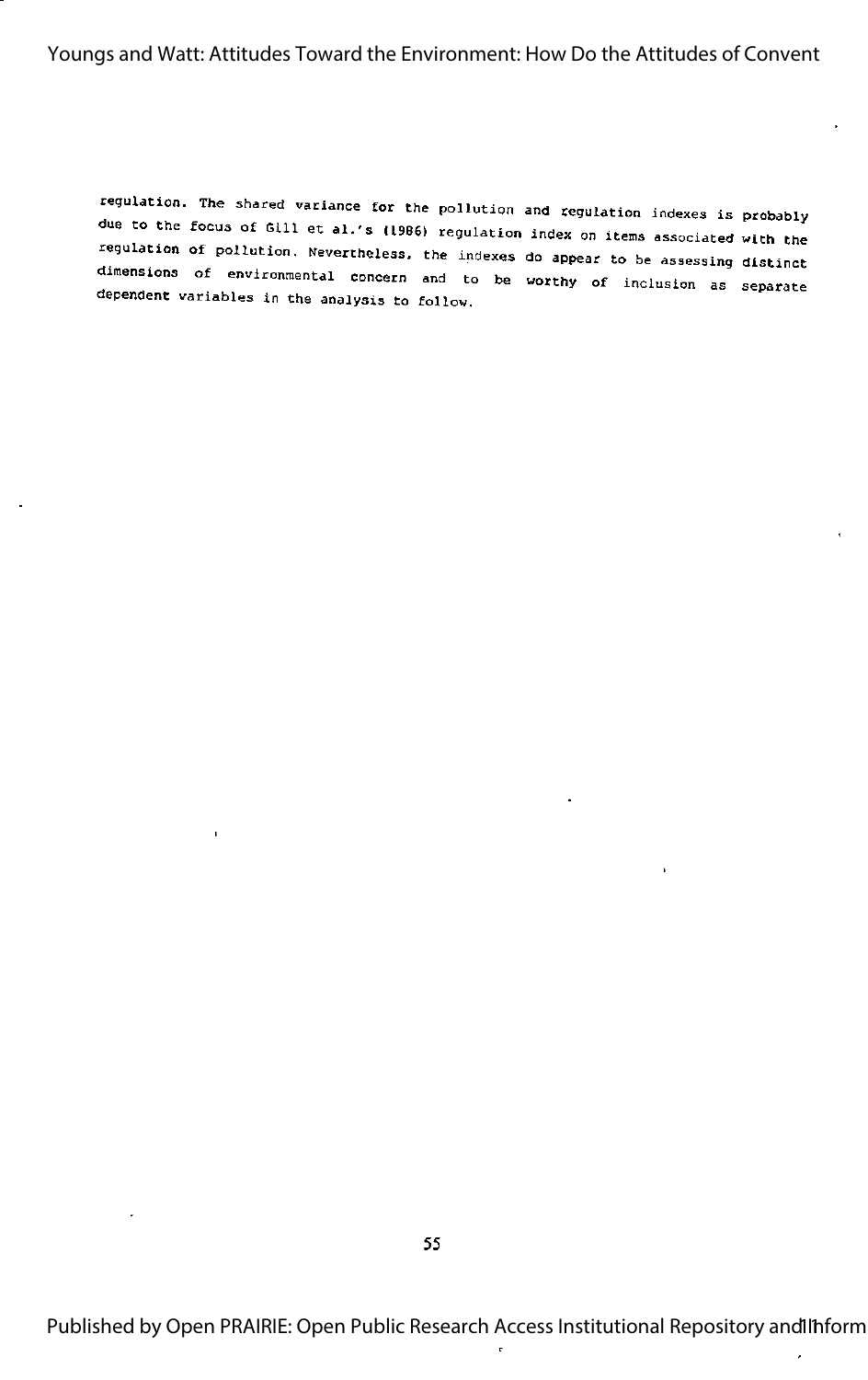regulation. The shared variance for the pollution and regulation indexes is probably due to the focus of Gill et al.'s (1986) regulation index on items associated with the regulation of pollution. Nevertheless, the indexes do appear to be assessing distinct dimensions of environmental concern and to be worthy of inclusion as separate dependent variables in the analysis to follow.

 $\overline{\phantom{a}}$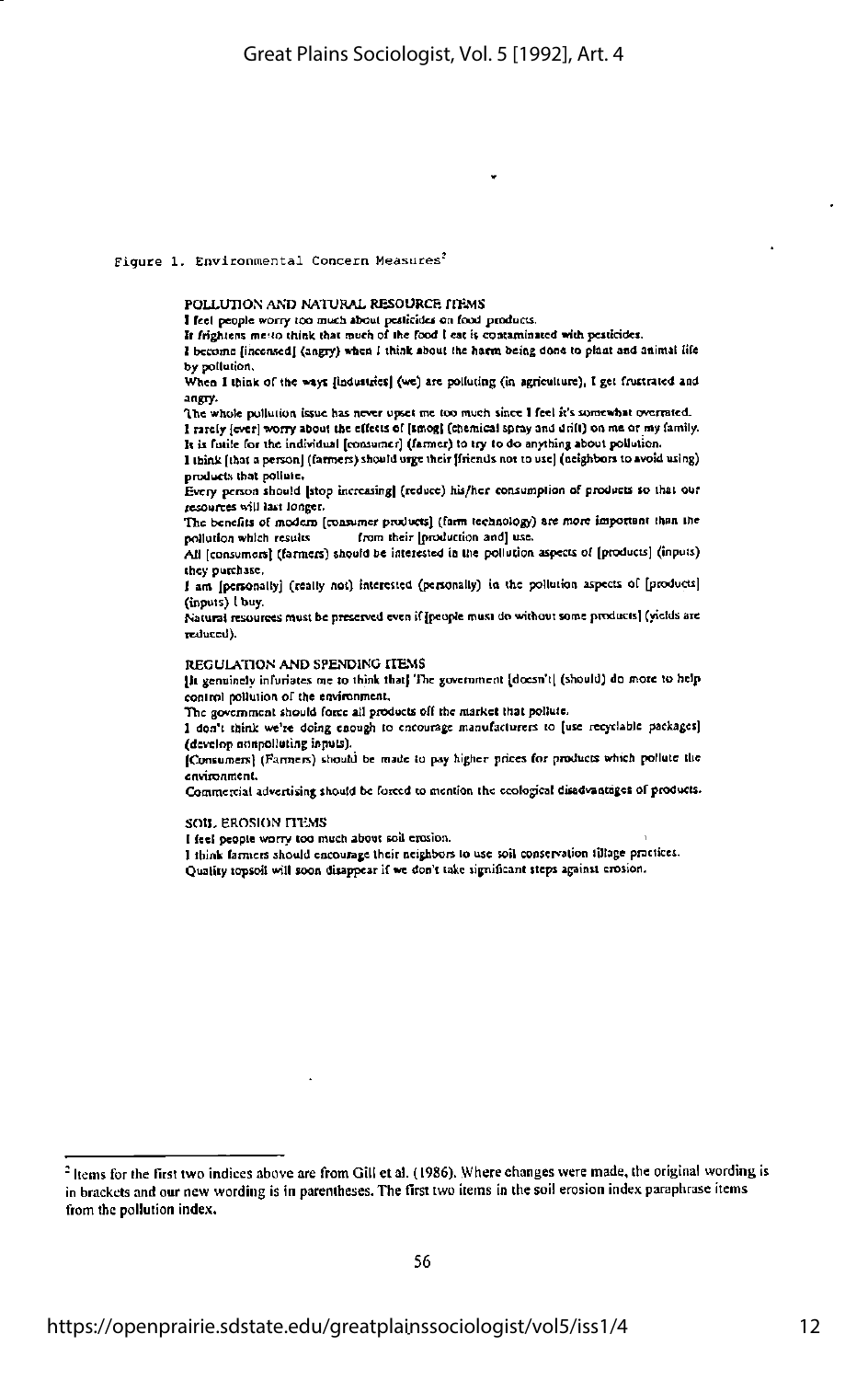## Figure 1. Environmental Concern Measures<sup>2</sup>

## POLLUTION AND NATURAL RESOURCE ITEMS

I feel people worry too much about pesticides on food products.

It frightens me to think that much of the food I eat is contaminated with pesticides.

I become [incensed] (angry) when I think about the harm being done to plant and animal life by pollution.

When I think of the ways [industries] (we) are polluting (in agriculture), I get frustrated and angry.

The whole pollution issue has never upset me too much since I feel it's somewhat overrated. I rately [ever] worry about the effects of [smog] (chemical spray and drilt) on me or my family.

It is fatile for the individual [consumer] (farmer) to try to do anything about pollution. I think [that a person] (farmers) should urge their [friends not to use] (neighbors to avoid using)

products that pollute.

Every person should [stop increasing] (reduce) his/her consumption of products so that our resources will last longer.

The benefits of modern [consumer products] (farm technology) are more important than the pollution which results from their [production and] use.

All [consumers] (farmers) should be interested in the pollution aspects of [products] (inputs) they purchase.

I am [personally] (really not) interested (personally) in the pollution aspects of [products] (inputs) I buy.

Natural resources must be preserved even if [people must do without some products] (yields are reduced).

#### REGULATION AND SPENDING ITEMS

[it genuinely infuriates me to think that] The government [doesn't] (should) do more to help control pollution of the environment,

The government should force all products off the market that pollute.

I don't think we're doing enough to encourage manufacturers to [use recyclable packages] (develop nonpolluting inputs).

[Consumers] (Farmers) should be made to pay higher prices for products which pollute the environment.

Commercial advertising should be forced to mention the ecological disadvantages of products.

#### SOIL EROSION LIEMS

I feel people worry too much about soil erosion.

I think farmers should encourage their neighbors to use soil conservation tillage practices. Quality topsoil will soon disappear if we don't take significant steps against erosion.

<sup>&</sup>lt;sup>2</sup> Items for the first two indices above are from Gill et al. (1986). Where changes were made, the original wording is in brackets and our new wording is in parentheses. The first two items in the soil erosion index paraphrase items from the pollution index.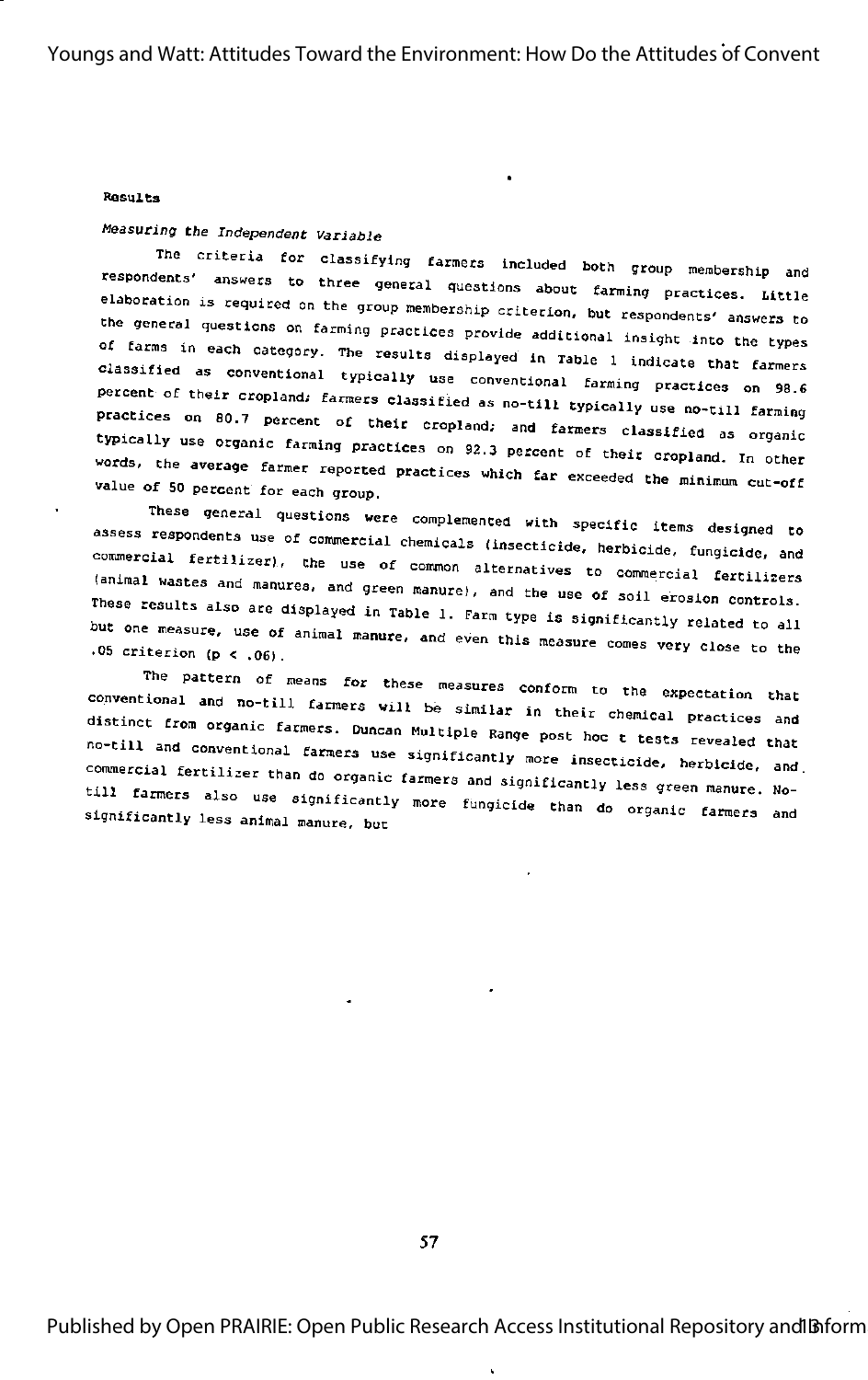#### Results

## Measuring the Independent Variable

The criteria for classifying farmers included both group membership and respondents' answers to three general questions about farming practices. Little elaboration is required on the group membership criterion, but respondents' answers to the general questions on farming practices provide additional insight into the types of farms in each category. The results displayed in Table 1 indicate that farmers classified as conventional typically use conventional farming practices on 98.6 percent of their cropland; farmers classified as no-till typically use no-till farming practices on 80.7 percent of their cropland; and farmers classified as organic typically use organic farming practices on 92.3 percent of their cropland. In other words, the average farmer reported practices which far exceeded the minimum cut-off value of 50 percent for each group.

These general questions were complemented with specific items designed to assess respondents use of commercial chemicals (insecticide, herbicide, fungicide, and commercial fertilizer), the use of common alternatives to commercial fertilizers (animal wastes and manures, and green manure), and the use of soil erosion controls. These results also are displayed in Table 1. Farm type is significantly related to all but one measure, use of animal manure, and even this measure comes very close to the  $.05$  criterion (p < .06).

The pattern of means for these measures conform to the expectation that conventional and no-till farmers will be similar in their chemical practices and distinct from organic farmers. Duncan Multiple Range post hoc t tests revealed that no-till and conventional farmers use significantly more insecticide, herbicide, and. commercial fertilizer than do organic farmers and significantly less green manure. Notill farmers also use significantly more fungicide than do organic farmers and significantly less animal manure, but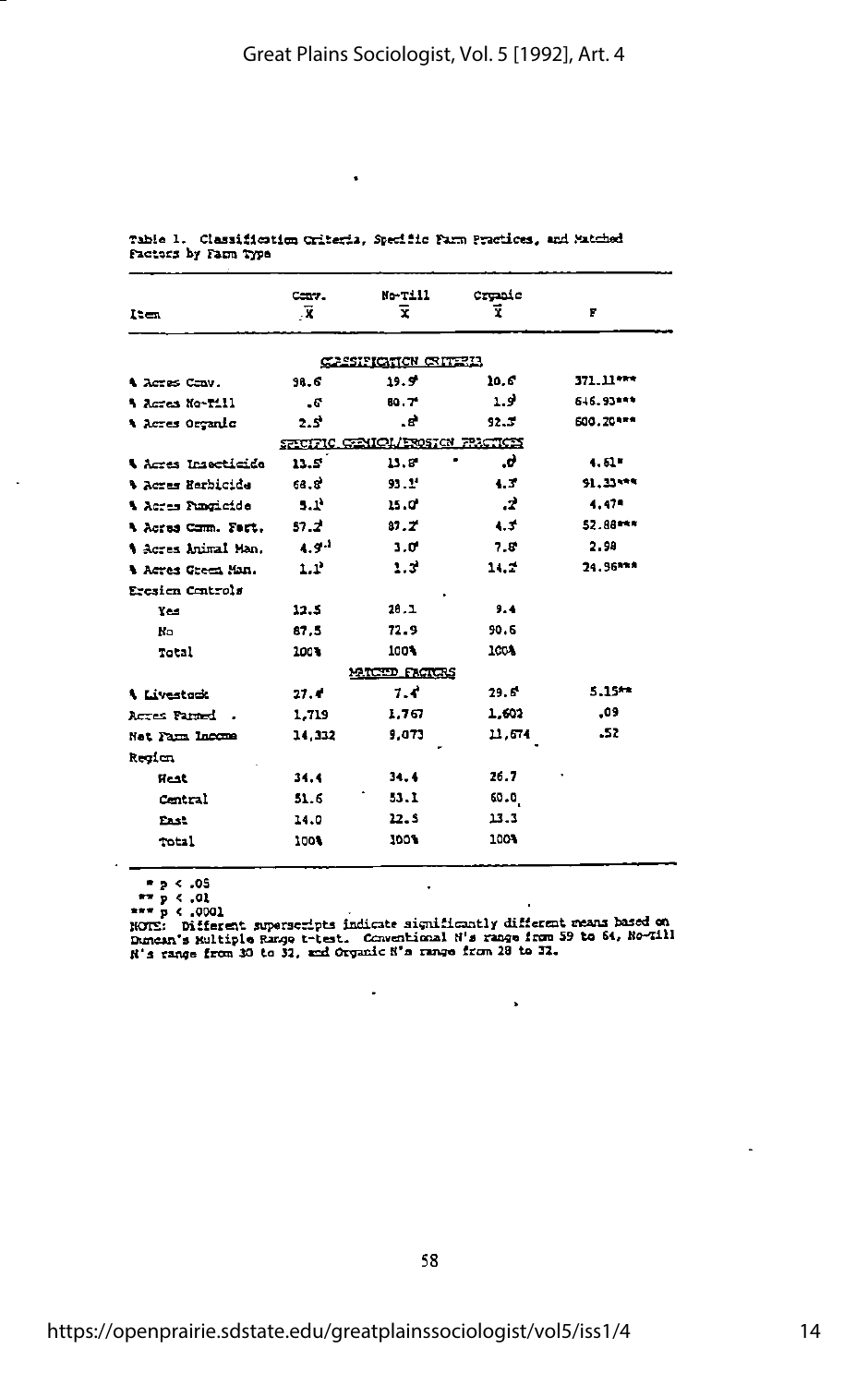|                            | Canv.             | No-Till                           | Crunic        |           |
|----------------------------|-------------------|-----------------------------------|---------------|-----------|
| 1ten                       | -X                | Ŧ.                                | Ŧ             | F         |
|                            |                   | CASSIFICTION CRITERIA             |               |           |
| A Acres Conv.              | 98.6              | 19.9                              | 10.G          | 371.11*** |
| * Acres No-Till            | - 6°              | 80 T                              | 19            | 616.93*** |
| A Acres Orçanic            | 2.5               | . a*                              | 92.5          | £00.20*** |
|                            |                   | SPECIFIC CENICL/EROSICN FRICTICES |               |           |
| <b>\ Acres Insecticide</b> | $13.5^{\circ}$    | 13.8                              | .ď            | 4.51      |
| % Acres Herbicida          | 68.S <sup>2</sup> | 93.2 <sup>4</sup>                 | $4.3^{\circ}$ | 91.33***  |
| <b>A</b> Acres Funcioide   | 3.1 <sup>1</sup>  | 15.C                              | -2            | $4.47 -$  |
| A Acres Comm. Fart.        | 57.2              | 37.7                              | $4.3^{\circ}$ | 52.88***  |
| t Acres Animal Man.        | $4.9 -$           | $3.0^{\circ}$                     | $7.8^{\circ}$ | 2.98      |
| A Acres Green Man.         | 1.1               | 1.3                               | 11.2          | 24.96***  |
| Eresien Centrols           |                   |                                   |               |           |
| Yes                        | 12.5              | 28.1                              | 9.4           |           |
| <b>No</b>                  | 87.5              | 72.9                              | 90.6          |           |
| Total                      | 2003              | 100%                              | 100%          |           |
|                            |                   | MICID FACTORS                     |               |           |
| <b>A</b> Livestock         | 27.4              | 7.4                               | 29.6          | $5.15**$  |
| Actos Paned                | 1,719             | 1.767                             | 1.602         | -09       |
| Net Farm Income            | 14,332            | 9.073                             | 11.64         | .52       |
| Regien                     |                   |                                   |               |           |
| Heat                       | 34.4              | 34.4                              | 26.7          |           |
| Central                    | 51.6              | 53.1                              | 60.0          |           |
| <b>East</b>                | 14.0              | 12.5                              | 13.3          |           |
| Total                      | 100%              | 100%                              | 100%          |           |
|                            |                   |                                   |               |           |

Table 1. Classification Criteria, Specific Farm Practices, and Matched Factors by Farm Type

 $\bullet$ 

 $\begin{array}{lll} \hline & \bullet & 2 < .05 \\ \hline & \bullet & 2 < .01 \\ \hline & \text{norm of } 2 & 0.02 \\ \hline & \text{norm of } 1 & 0.001 \\ \hline & \text{norm of } 3 & 0.01 \\ \hline \end{array}$ 

 $\ddot{\phantom{0}}$ 

l.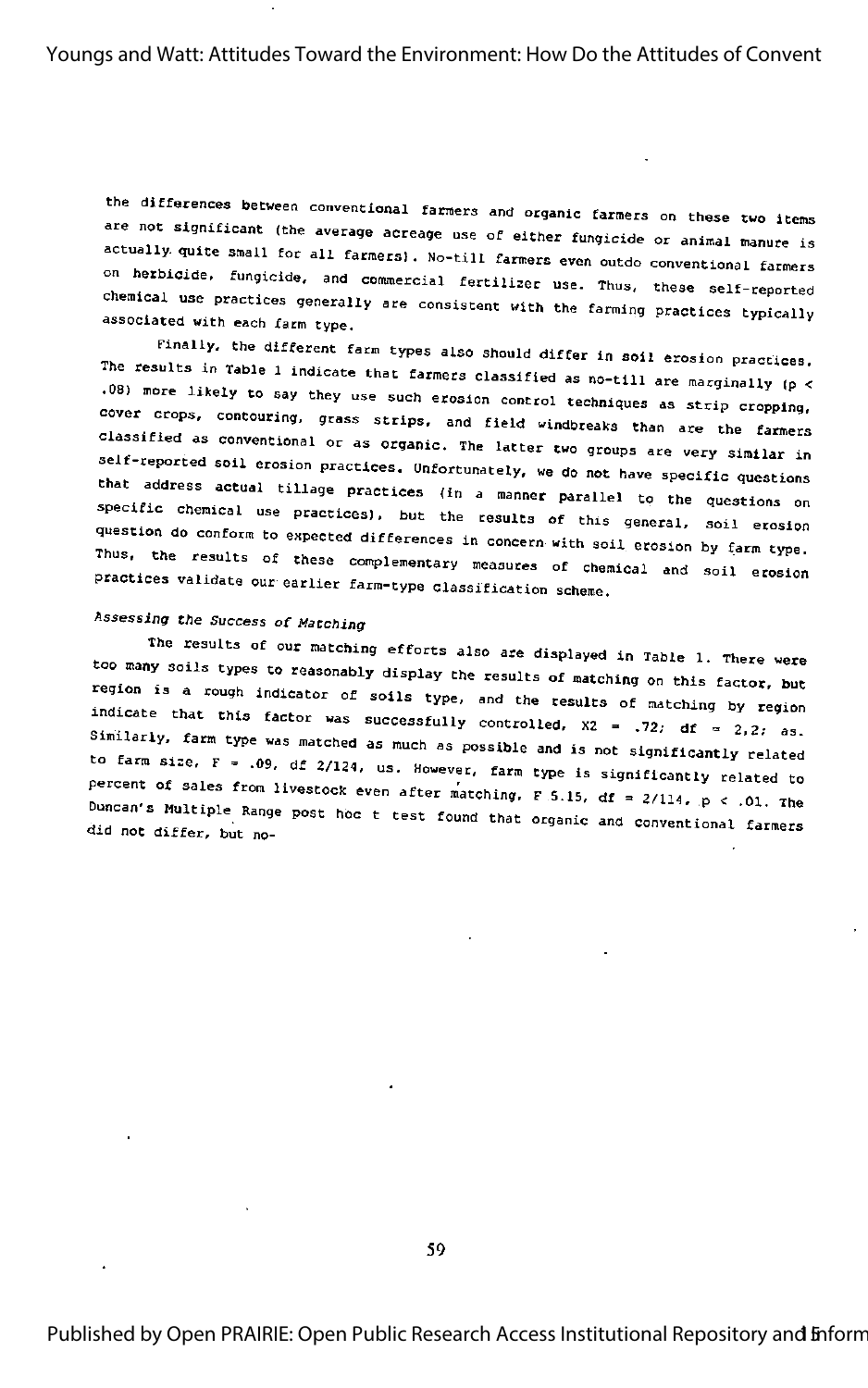the differences between conventional farmers and organic farmers on these two items are not significant (the average acreage use of either fungicide or animal manure is actually quite small for all farmers). No-till farmers even outdo conventional farmers on herbicide, fungicide, and commercial fertilizer use. Thus, these self-reported chemical use practices generally are consistent with the farming practices typically associated with each farm type.

Finally, the different farm types also should differ in soil erosion practices. The results in Table 1 indicate that farmers classified as no-till are marginally (p < .08) more likely to say they use such erosion control techniques as strip cropping, cover crops, contouring, grass strips, and field windbreaks than are the farmers classified as conventional or as organic. The latter two groups are very similar in self-reported soil erosion practices. Unfortunately, we do not have specific questions that address actual tillage practices (in a manner parallel to the questions on specific chemical use practices), but the results of this general, soil erosion question do conform to expected differences in concern with soil erosion by farm type. Thus, the results of these complementary measures of chemical and soil erosion practices validate our earlier farm-type classification scheme.

## Assessing the Success of Matching

The results of our matching efforts also are displayed in Table 1. There were too many soils types to reasonably display the results of matching on this factor, but region is a rough indicator of soils type, and the results of matching by region indicate that this factor was successfully controlled,  $x^2 = 0.72$ ; df = 2,2; as. Similarly, farm type was matched as much as possible and is not significantly related to farm size,  $F = .09$ , df 2/124, us. However, farm type is significantly related to percent of sales from livestock even after matching, F.5.15, df = 2/114, p < .01. The Duncan's Multiple Range post hoc t test found that organic and conventional farmers did not differ, but no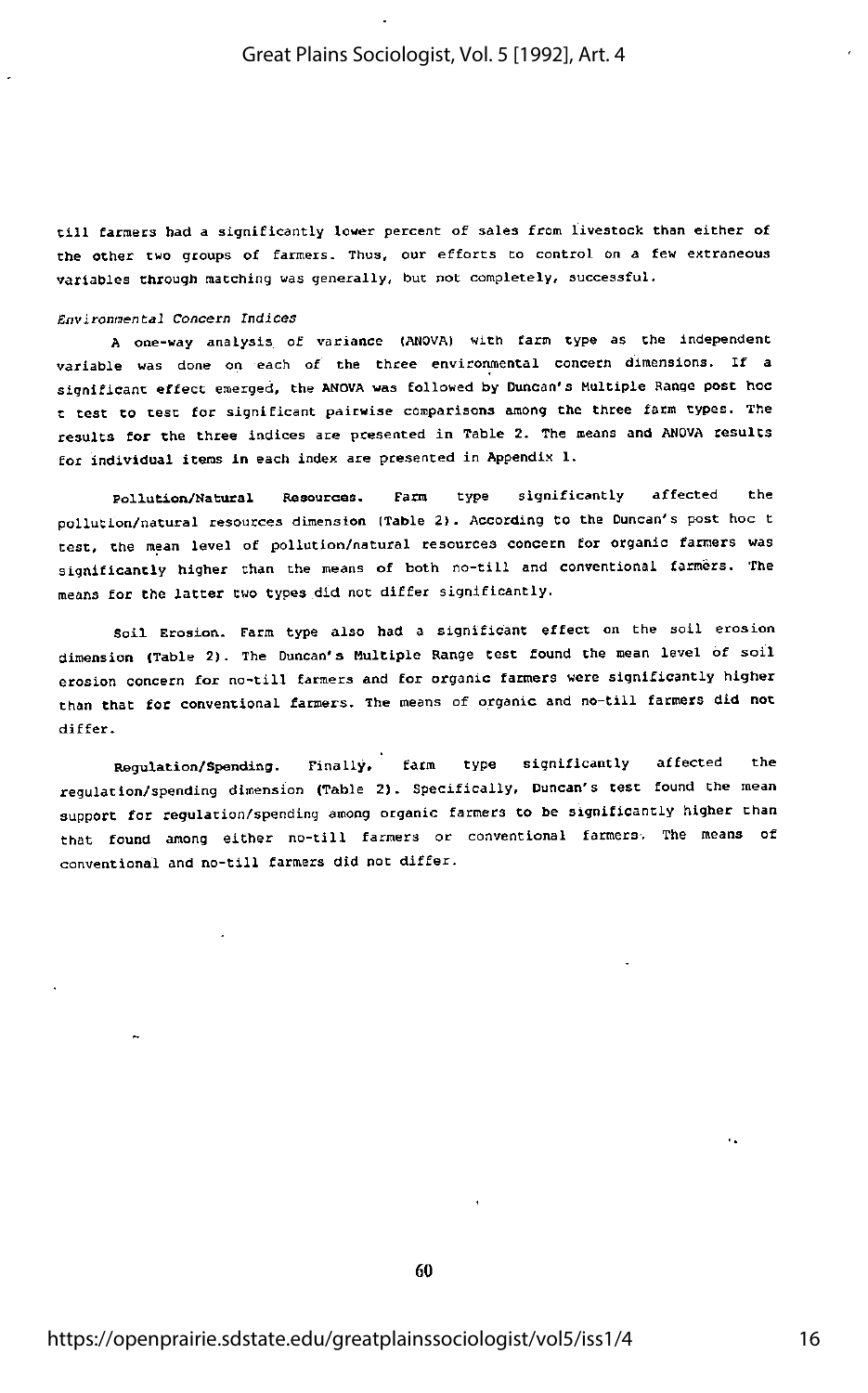till farmers had <sup>a</sup> significantly lower percent of sales from livestock than either of the other two groups of fanners. Thus, our efforts to control on a few extraneous variables through matching was generally, but not completely, successful.

Environmental Concern Indices

A one-way analysis of variance (ANOVA) with farm type as the Independent variable was done on each of the three environmental concern dimensions. If <sup>a</sup> significant effect emerged, the ANOVA was followed by Duncan's Multiple Range post hoc t test CO test for significant pairwise comparisons among the three farm types. The results for the three indices are presented in Table 2. The means and ANOVA results for individual items in each index are presented in Appendix 1.

Pollution/Natural Resources. Farm type significantly affected Che pollution/natural resources dimension (Table 2). According to the Duncan's post hoc t test, Che mean level of pollution/natural resources concern for organic farmers was significantly higher than the means of both no-till and conventional farmers. The means for the latter two types did not differ significantly.

Soil Erosion. Farm type also had a significant effect on the soil erosion dimension (Table 2). The Duncan's Multiple Range test found the mean level of soil erosion concern for no-till farmers and for organic farmers were significantly higher than that for conventional farmers. The means of organic and no-till farmers did not differ.

Regulation/Spending. Finally, farm type significantly affected the regulation/spending dimension (Table 2). Specifically, Duncan's test found Che mean support for regulation/spending among organic farmers to be significantly higher than that found among either no-till farmers or conventional farmers. The means of conventional and no-till farmers did not differ.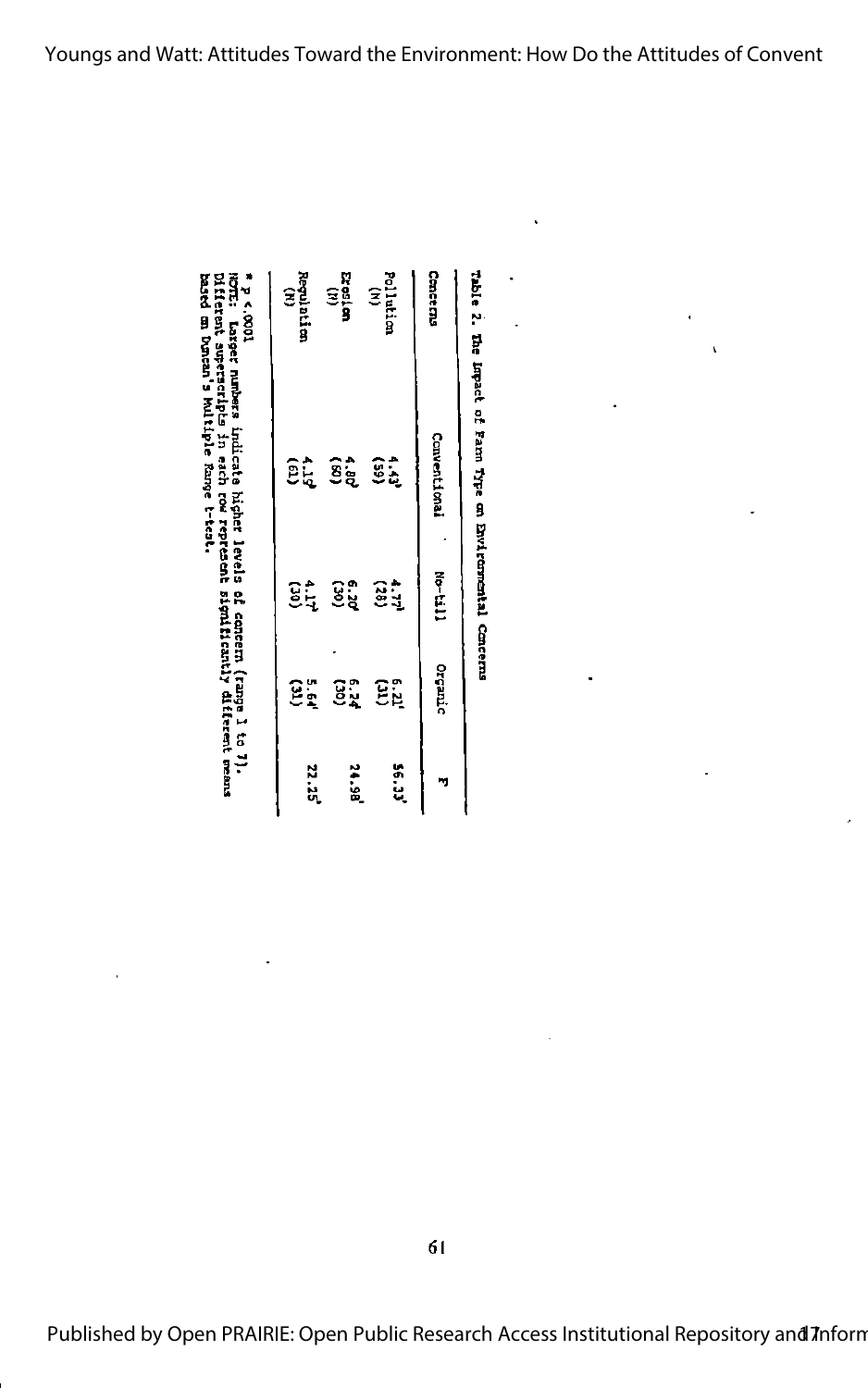|         |             |        | E; Lasger numbers indicate higher levels of concern (range l to 7).<br>ferent superscripts in each row represent significantly different means<br>ed on Doncan's Multiple Range t-test. | $\frac{1000}{2}$ |
|---------|-------------|--------|-----------------------------------------------------------------------------------------------------------------------------------------------------------------------------------------|------------------|
| 22.29   | មិត្និ      | ទ្ធដ្ន | εţ                                                                                                                                                                                      | atari<br>B       |
| ie<br>S | ខ្ញុំ       | ទ្ធិះ  | ື້ຮູ້                                                                                                                                                                                   | 3<br>រី          |
| ر<br>با | <u>ទ្រុ</u> | ខ្លះ្ន | Ŝå                                                                                                                                                                                      | 3<br>lution      |
|         |             |        |                                                                                                                                                                                         |                  |

| Cancerous          | <b>Conventional</b>                           | $N_0 - t_1 11$      | Orcanic                           |
|--------------------|-----------------------------------------------|---------------------|-----------------------------------|
| Pollution<br>(H)   | ŝå                                            | ទ្ធិដ្ឋ             | Ξů                                |
| cresten<br>Biesten | $\widehat{\mathbf{g}}_{\mathbf{\hat{g}}}^*$   | ខ្ញុំ               | $\widetilde{g}^{\circ}_{\lambda}$ |
| Regulation<br>(N)  | $\widehat{\mathbb{E}}$ $\widehat{\mathbb{E}}$ | $\hat{g}^*_{\zeta}$ | មិត្និ                            |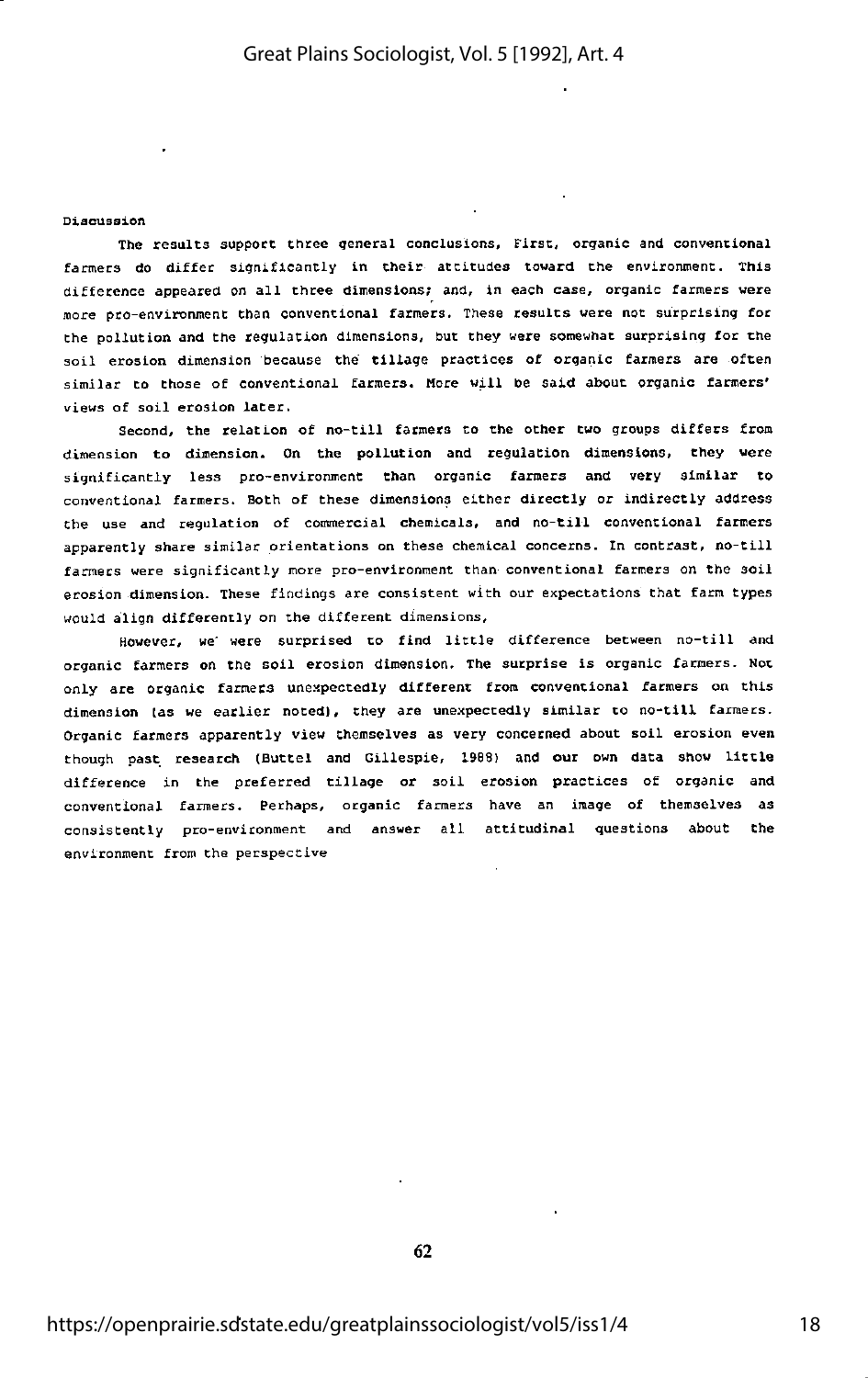## Discussion

The results support three general conclusions, First, organic and conventional farmers do differ significantly in their attitudes toward the environment. This difference appeared on all three dimensions; and, in each case, organic farmers were more pro-environment than conventional farmers. These results were not surprising for the pollution and the regulation dimensions, but they were somewhat surprising for the soil erosion dimension because the tillage practices of organic farmers are often similar to those of conventional farmers. More will be said about organic farmers' views of soil erosion later.

Second, Che relation of no-till farmers to the other two groups differs from dimension to dimension. On the pollution and regulation dimensions, they were significantly less pro-environment than organic farmers and very similar to conventional farmers. Both of these dimensions either directly or indirectly address Che use and regulation of commercial chemicals, and no-till conventional farmers apparently share similar orientations on these chemical concerns. In contrast, no-till farmers were significantly more pro-environment than conventional farmers on the soil erosion dimension. These findings ate consistent with our expectations that farm types would align differently on the different dimensions.

However, we' were surprised to find little difference between no-till and organic farmers on the soil erosion dimension. The surprise is organic farmers. Not only are organic farmers unexpectedly different from conventional farmers on this dimension (as we earlier noted), they are unexpectedly similar to no-till farmers. Organic farmers apparently view themselves as very concerned about soil erosion even though past research (Buctel and Gillespie, 1988) and our own data show little difference in the preferred tillage or soil erosion practices of organic and conventional farmers. Perhaps, organic farmers have an image of themselves as consistently pro-environment and answer all attitudinal questions about Che environment from the perspective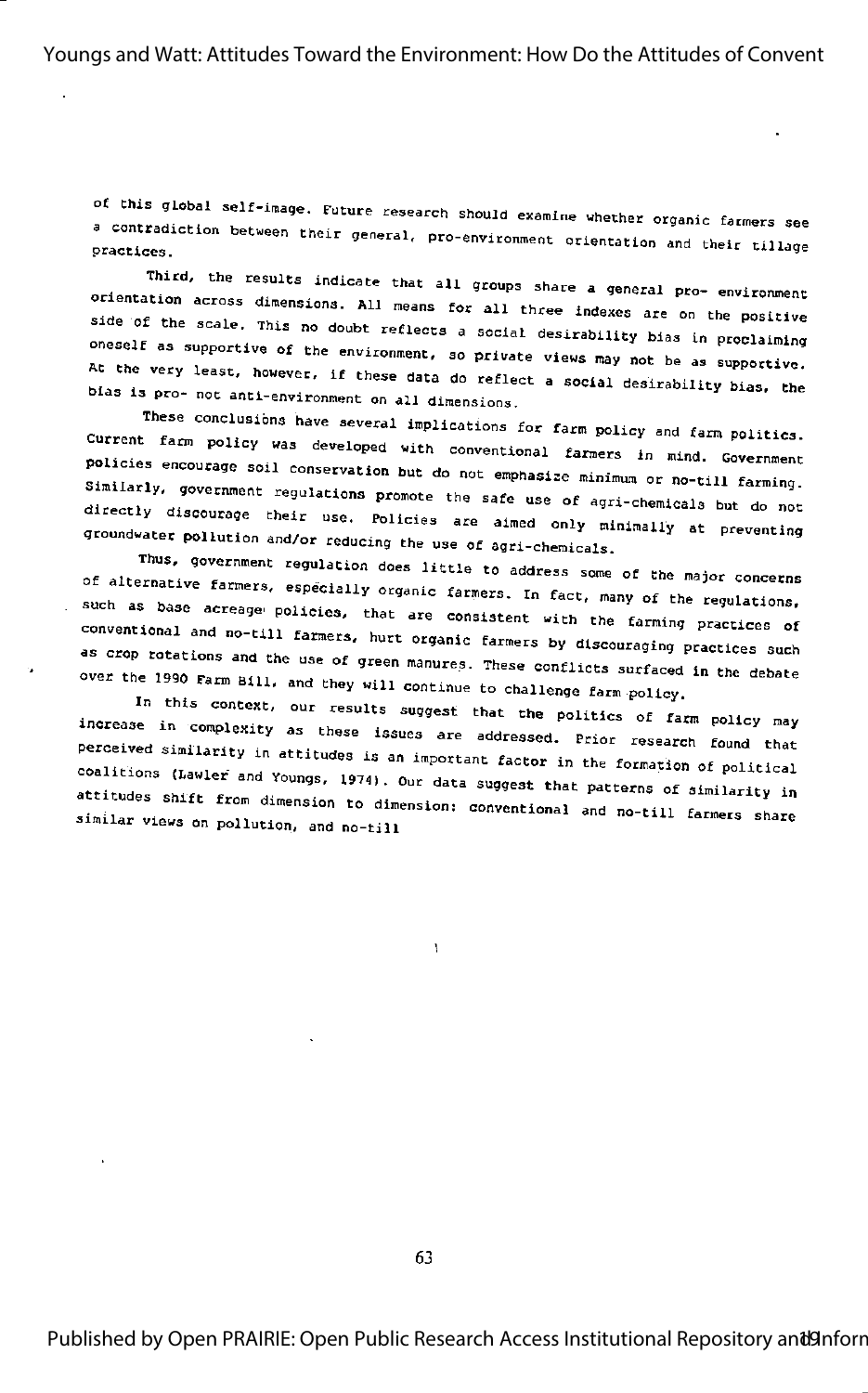of this global self-image. Future research should examine whether organic farmers see a contradiction between their general, pro-environment orientation and their tillage practices.

Third, the results indicate that all groups share a general pro- environment orientation across dimensions. All means for all three indexes are on the positive side of the scale. This no doubt reflects a social desirability bias in proclaiming oneself as supportive of the environment, so private views may not be as supportive. At the very least, however, if these data do reflect a social desirability bias, the bias is pro- not anti-environment on all dimensions.

These conclusions have several implications for farm policy and farm politics. Current farm policy was developed with conventional farmers in mind. Government policies encourage soil conservation but do not emphasize minimum or no-till farming. Similarly, government regulations promote the safe use of agri-chemicals but do not directly discourage their use. Policies are aimed only minimally at preventing groundwater pollution and/or reducing the use of agri-chemicals.

Thus, government regulation does little to address some of the major concerns of alternative farmers, especially organic farmers. In fact, many of the regulations, such as base acreage policies, that are consistent with the farming practices of conventional and no-till farmers, hurt organic farmers by discouraging practices such as crop rotations and the use of green manures. These conflicts surfaced in the debate over the 1990 Farm Bill, and they will continue to challenge farm policy.

In this context, our results suggest that the politics of farm policy may increase in complexity as these issues are addressed. Prior research found that perceived similarity in attitudes is an important factor in the formation of political coalitions (Lawler and Youngs, 1974). Our data suggest that patterns of similarity in attitudes shift from dimension to dimension: conventional and no-till farmers share similar views on pollution, and no-till

 $\mathbf{v}$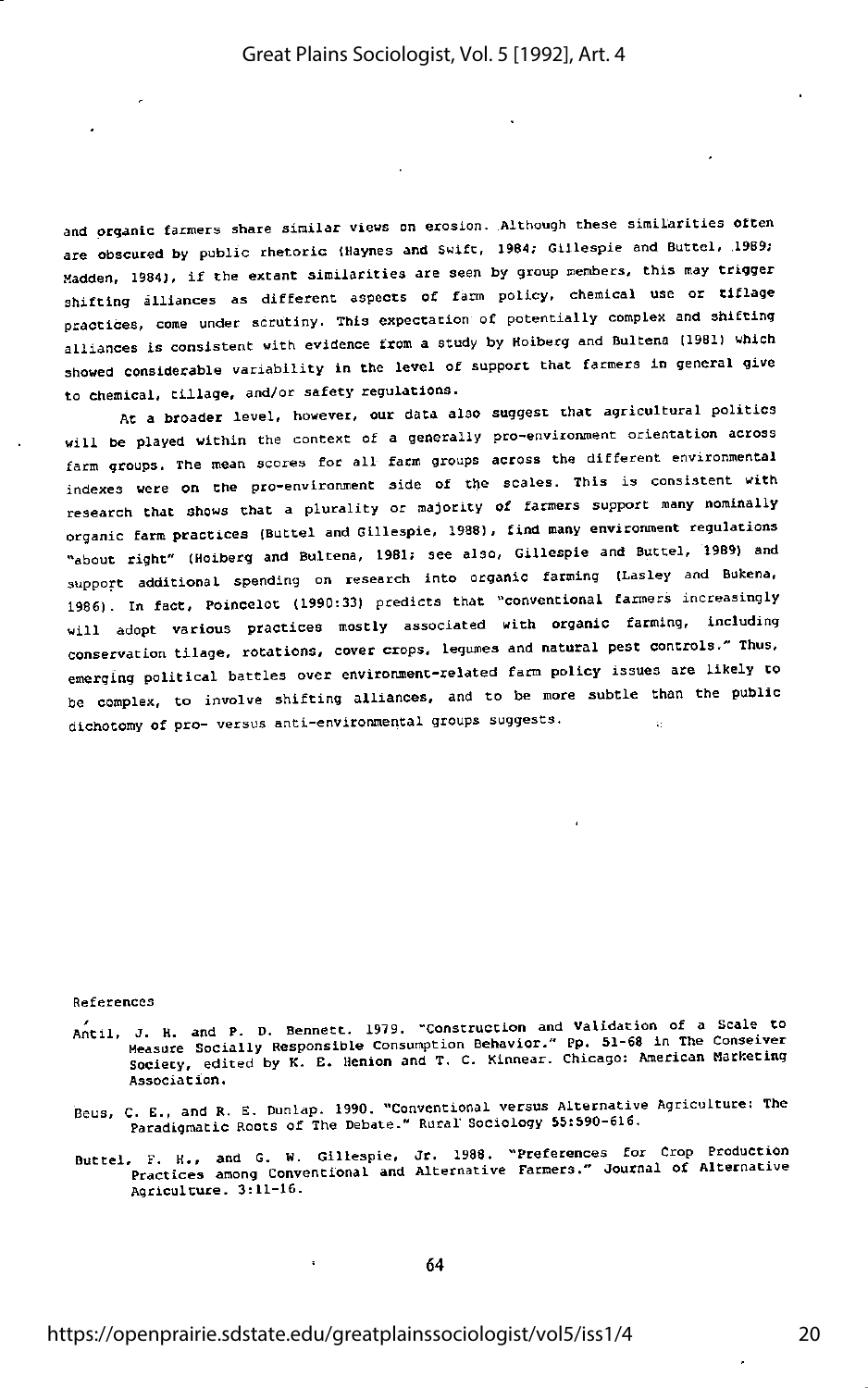and organic farmers share similar views on erosion. Although these similarities often are obscured by public rhetoric (Haynes and Swift, 1964; Glllespie and Buttel, .1989; Madden, 1984), if the extant similarities are seen by group members, this may trigger shifting alliances as different aspects of farm policy, chemical use or tiflage practices, come under scrutiny. This expectation of potentially complex and shifting alliances is consistent with evidence from a study by Hoiberg and Bultena (1981) which showed considerable variability in the level of support that farmers in general give to chemical, tillage, and/or safety regulations.

At a broader level, however, our data also suggest that agricultural politics will be played within the context of a generally pro-environment orientation across farm groups. The mean scores for all farm groups across the different environmental indexes were on the pro-environment side of the scales. This is consistent with research that shows that a plurality or majority of farmers support many nominally organic farm practices (Buttel and Glllespie. 1988), find many environment regulations "about right" (Hoiberg and Bultena, 1981; see also, GiUespie and Buttel, 19B9) and support additional spending on research into organic farming (Lasley and Bukena, 1986). In fact, Poincelot (1990:33) predicts that "conventional farmers increasingly will adopt various practices mostly associated with organic farming, including conservation tilage, rotations, cover crops, legumes and natural pest controls." Thus, emerging political battles over environment-related farm policy issues are likely to be complex, to involve shifting alliances, and to be more subtle than the public dichotomy of pro- versus anti-environmental groups suggests.

#### References

- Antil, J. H. and P. D. Bennett. 1979. "Construction and Validation of a Scale to Measure Socially Responsible Consumption Behavior." Pp. 51-68 in The Conseiver Society, edited by K. E. Henion and T. C. Kinnear. Chicago: American Marketing Association.
- Beus, C. E., and R. E. Dunlap. 1990. "Conventional versus Alternative Agriculture: The Paradigmatic Roots of The Debate." Rural Sociology 55:590-616.
- Buttel, F. H., and G. W. Gillespie, Jr. 1988. "Preferences for Crop Production<br>Practices among Conventional and Alternative Farmers." Journal of Alternative Agriculture. 3:11-16.

64

J.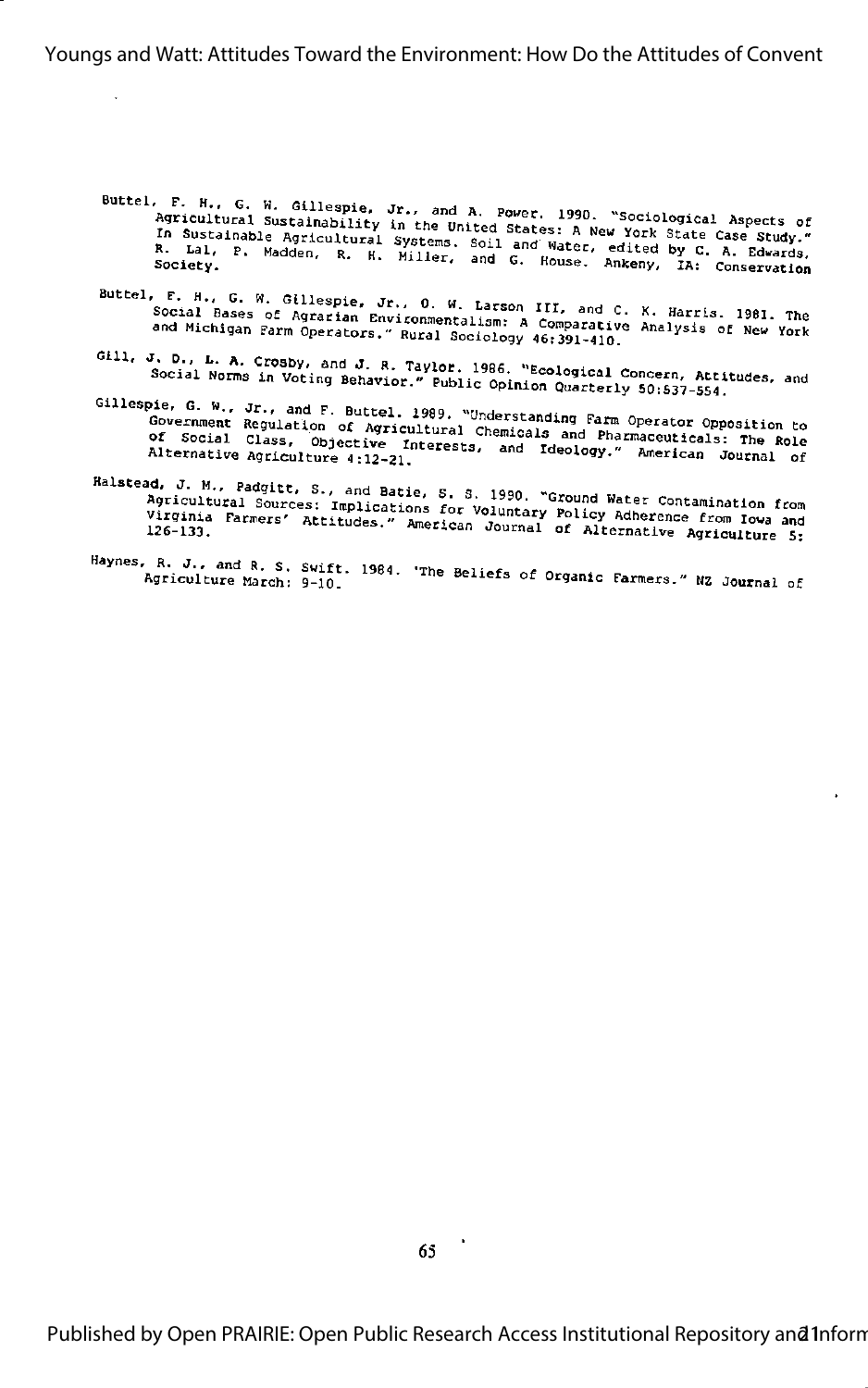Buttel, F. H., G. W. Gillespie, Jr., and A. Power. 1990. "Sociological Aspects of<br>Agricultural Sustainability in the United States: A New York State Case Study." ny steading businesses and the control states in the steading comes were stated by C. A. Edwards, In Sustainable Agricultural Systems, Soil and Water, edited by C. A. Edwards, R. Lal, P. Madden, R. K. Miller, and G. House.

- Buttel, F. H., G. W. Gillespie, Jr., O. W. Larson III, and C. K. Harris. 1981. The<br>Social Bases of Agrarian Environmentalism: A Comparative Analysis of New York and Michigan Farm Operators." Rural Sociology 46:391-410.
- Gill, J. D., L. A. Crosby, and J. R. Taylor. 1986. "Ecological Concern, Attitudes, and Social Norms in Voting Behavior." Public Opinion Quarterly 50:537-554.
- Gillespie, G. W., Jr., and F. Buttel. 1989. "Understanding Farm Operator Opposition to Government Regulation of Agricultural Chemicals and Pharmaceuticals: The Role of Social Class, Objective Interests, and Ideology." American Journal of Alternative Agriculture 4:12-21.
- Halstead, J. M., Padgitt, S., and Batie, S. S. 1990. "Ground Water Contamination from Agricultural Sources: Implications for Voluntary Policy Adherence from Iowa and Virginia Farmers' Attitudes." American Journal of Alternative Agriculture 5:
- Haynes, R. J., and R. S. Swift. 1984. 'The Beliefs of Organic Farmers." NZ Journal of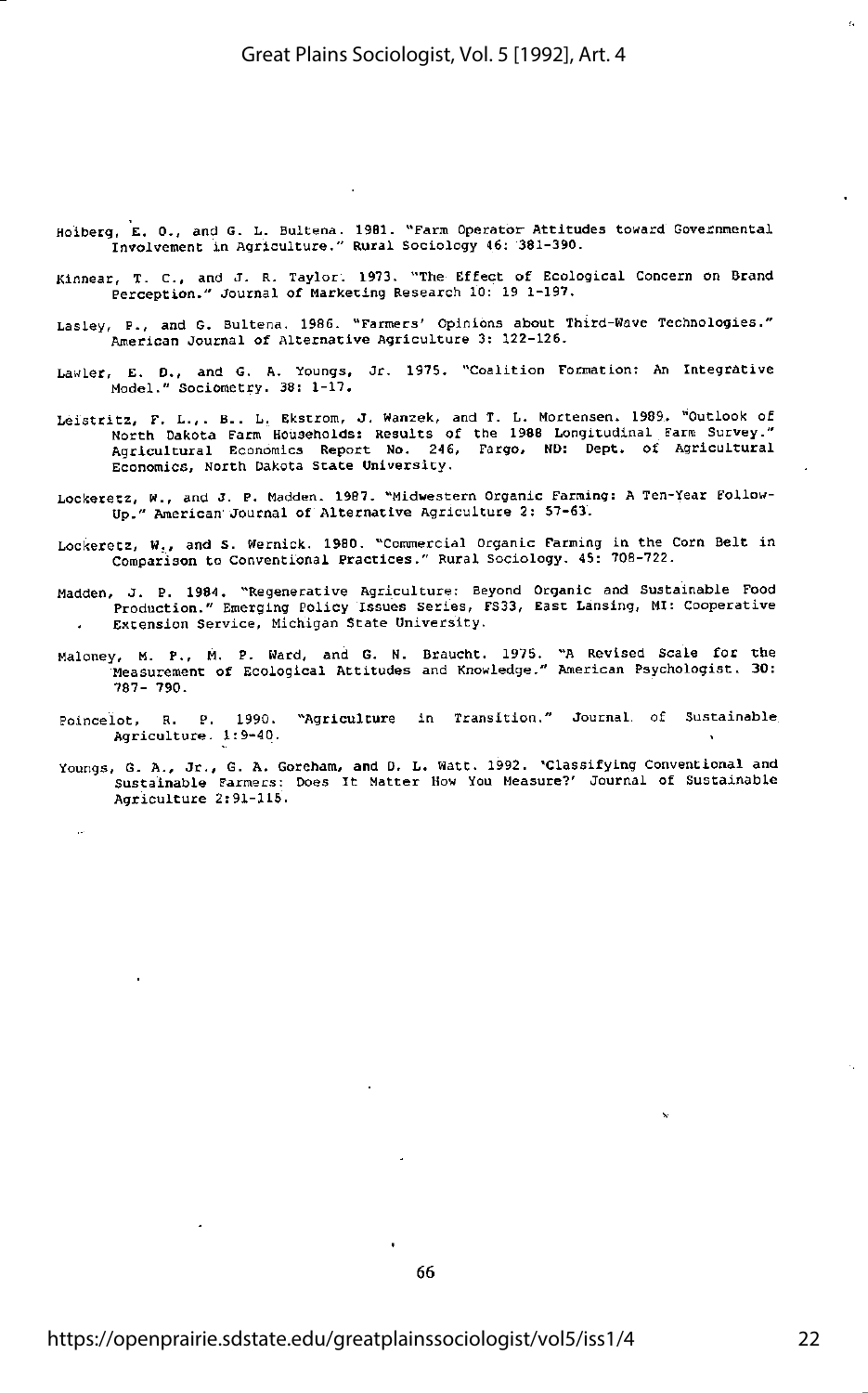- Hoiberg, E. 0., and G. L. Bultena. 1981. "Farm Operator Attitudes toward Governmental Involvement in Agriculture." Rural Sociology 46; 381-390.
- Kinnear, T. C., and J. R. Taylor. 1973. "The Effect of Ecological Concern on Brand Perception." Journal of Marketing Research 10; 19 1-197.
- Lasley, P., and G. Bultena. 1986. "Farmers' Opinions about Third-Wave Technologies." American Journal of Alternative Agriculture 3: 122-126.
- Lawler, E. D., and G. A. Youngs, Jr. 1975. "Coalition Formation: An Integrative Model." Sociometry. 38: 1-17.
- Leistritz, F. L.,. B. . L. Ekstrom, J. Wanzek, and T. L. Hortensen. 1989. "Outlook of North Dakota Farm Households; Results of the 1988 Longitudinal Farm Survey." Agricultural Economics Report No. 246, Fargo. ND: Dept. of Agricultural Economics, North Dakota State University.
- Lockecetz, W., and J. P. Madden. 1987. "Midwestern Organic Farming: A Ten-Year Follow-Up." American Journal of Alternative Agriculture 2: 57-63.
- Lockeretz, W., and S. Wernick. 1980. "Commercial Organic Farming in the Corn Beit in Comparison to Conventional Practices." Rural Sociology. 45: 708-722.
- Madden, J. P. 1984. "Regenerative Agriculture: Beyond Organic and Sustainable Food Production." Emerging Policy Issues Series, FS33, East Lansing, MI: Cooperative Extension Service, Michigan State University.
- Haloney, M. P., M. P. Ward, and G. N. Braucht. 1975. "A Revised Scale for the Measurement of Ecological Attitudes and Knowledge." American Psychologist. 30: 787- 790.
- Poincelot, R. P. 1990. "Agriculture in Transition." Journal, of Sustainable Agriculture. 1:9-40.
- Youngs, G. A., Jr., G. A. Goreham, and D. L. Watt. 1992. 'Classifying Conventional and Sustainable Farmers: Does It Matter How You Measure?' Journal of Sustainable Agriculture 2:91-115.